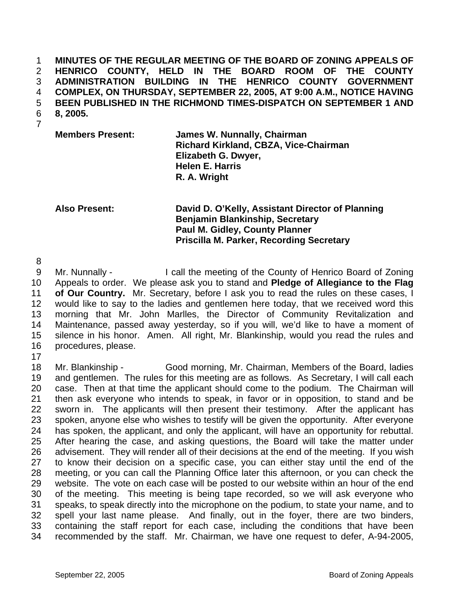**MINUTES OF THE REGULAR MEETING OF THE BOARD OF ZONING APPEALS OF HENRICO COUNTY, HELD IN THE BOARD ROOM OF THE COUNTY ADMINISTRATION BUILDING IN THE HENRICO COUNTY GOVERNMENT COMPLEX, ON THURSDAY, SEPTEMBER 22, 2005, AT 9:00 A.M., NOTICE HAVING BEEN PUBLISHED IN THE RICHMOND TIMES-DISPATCH ON SEPTEMBER 1 AND 8, 2005.**  1 2 3 4 5 6

7

**Members Present: James W. Nunnally, Chairman Richard Kirkland, CBZA, Vice-Chairman Elizabeth G. Dwyer, Helen E. Harris R. A. Wright** 

**Also Present: David D. O'Kelly, Assistant Director of Planning Benjamin Blankinship, Secretary Paul M. Gidley, County Planner Priscilla M. Parker, Recording Secretary** 

8

9 10 11 12 13 14 15 16 Mr. Nunnally - I call the meeting of the County of Henrico Board of Zoning Appeals to order. We please ask you to stand and **Pledge of Allegiance to the Flag of Our Country.** Mr. Secretary, before I ask you to read the rules on these cases, I would like to say to the ladies and gentlemen here today, that we received word this morning that Mr. John Marlles, the Director of Community Revitalization and Maintenance, passed away yesterday, so if you will, we'd like to have a moment of silence in his honor. Amen. All right, Mr. Blankinship, would you read the rules and procedures, please.

17

18 19 20 21 22 23 24 25 26 27 28 29 30 31 32 33 34 Mr. Blankinship - Good morning, Mr. Chairman, Members of the Board, ladies and gentlemen. The rules for this meeting are as follows. As Secretary, I will call each case. Then at that time the applicant should come to the podium. The Chairman will then ask everyone who intends to speak, in favor or in opposition, to stand and be sworn in. The applicants will then present their testimony. After the applicant has spoken, anyone else who wishes to testify will be given the opportunity. After everyone has spoken, the applicant, and only the applicant, will have an opportunity for rebuttal. After hearing the case, and asking questions, the Board will take the matter under advisement. They will render all of their decisions at the end of the meeting. If you wish to know their decision on a specific case, you can either stay until the end of the meeting, or you can call the Planning Office later this afternoon, or you can check the website. The vote on each case will be posted to our website within an hour of the end of the meeting. This meeting is being tape recorded, so we will ask everyone who speaks, to speak directly into the microphone on the podium, to state your name, and to spell your last name please. And finally, out in the foyer, there are two binders, containing the staff report for each case, including the conditions that have been recommended by the staff. Mr. Chairman, we have one request to defer, A-94-2005,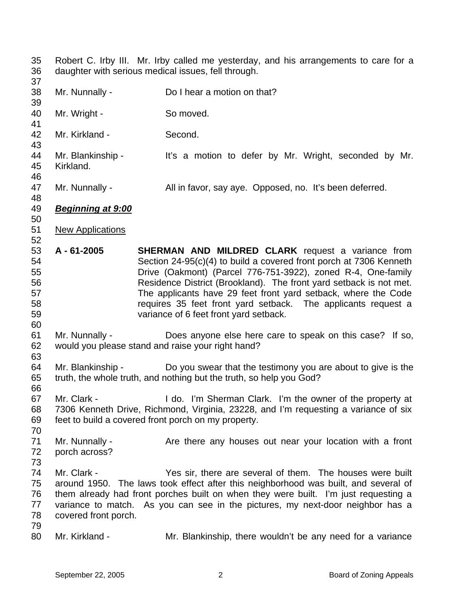35 36 Robert C. Irby III. Mr. Irby called me yesterday, and his arrangements to care for a daughter with serious medical issues, fell through.

37 38

39

41

50

52

60

66

Mr. Nunnally - Do I hear a motion on that?

- 40 Mr. Wright - So moved.
- 42 Mr. Kirkland - Second.
- 43 44 45 46 Mr. Blankinship - It's a motion to defer by Mr. Wright, seconded by Mr. Kirkland.
- 47 48 Mr. Nunnally - All in favor, say aye. Opposed, no. It's been deferred.
- 49 *Beginning at 9:00*
- 51 New Applications
- 53 54 55 56 57 58 59 **A - 61-2005 SHERMAN AND MILDRED CLARK** request a variance from Section 24-95(c)(4) to build a covered front porch at 7306 Kenneth Drive (Oakmont) (Parcel 776-751-3922), zoned R-4, One-family Residence District (Brookland). The front yard setback is not met. The applicants have 29 feet front yard setback, where the Code requires 35 feet front yard setback. The applicants request a variance of 6 feet front yard setback.
- 61 62 Mr. Nunnally - Does anyone else here care to speak on this case? If so, would you please stand and raise your right hand?
- 63 64 65 Mr. Blankinship - Do you swear that the testimony you are about to give is the truth, the whole truth, and nothing but the truth, so help you God?
- 67 68 69 Mr. Clark - **I** do. I'm Sherman Clark. I'm the owner of the property at 7306 Kenneth Drive, Richmond, Virginia, 23228, and I'm requesting a variance of six feet to build a covered front porch on my property.
- 70 71 72 Mr. Nunnally - The Are there any houses out near your location with a front porch across?
- 73
- 74 75 76 77 78 Mr. Clark - The Yes sir, there are several of them. The houses were built around 1950. The laws took effect after this neighborhood was built, and several of them already had front porches built on when they were built. I'm just requesting a variance to match. As you can see in the pictures, my next-door neighbor has a covered front porch.
- 79
- 80 Mr. Kirkland - Mr. Blankinship, there wouldn't be any need for a variance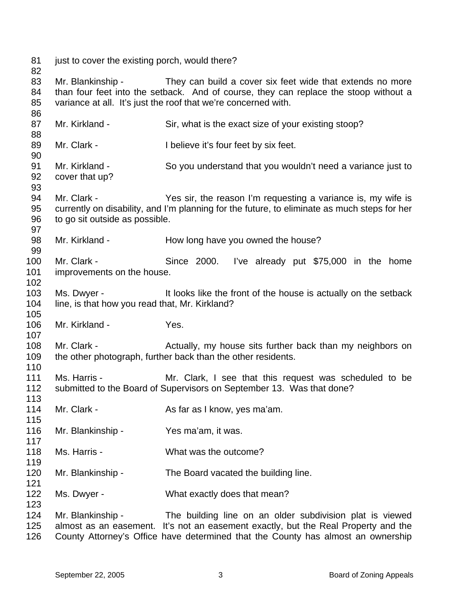just to cover the existing porch, would there?

 

 Mr. Blankinship - They can build a cover six feet wide that extends no more than four feet into the setback. And of course, they can replace the stoop without a variance at all. It's just the roof that we're concerned with.

Mr. Kirkland - Sir, what is the exact size of your existing stoop?

- Mr. Clark - I believe it's four feet by six feet. Mr. Kirkland - So you understand that you wouldn't need a variance just to cover that up? Mr. Clark - The Yes sir, the reason I'm requesting a variance is, my wife is currently on disability, and I'm planning for the future, to eliminate as much steps for her to go sit outside as possible. Mr. Kirkland - How long have you owned the house? Mr. Clark - Since 2000. I've already put \$75,000 in the home improvements on the house. Ms. Dwyer - The It looks like the front of the house is actually on the setback line, is that how you read that, Mr. Kirkland? Mr. Kirkland - Yes. Mr. Clark - **Actually, my house sits further back than my neighbors on** the other photograph, further back than the other residents. Ms. Harris - Mr. Clark, I see that this request was scheduled to be submitted to the Board of Supervisors on September 13. Was that done? Mr. Clark - As far as I know, yes ma'am. Mr. Blankinship - Yes ma'am, it was. Ms. Harris - What was the outcome? Mr. Blankinship - The Board vacated the building line. Ms. Dwyer - What exactly does that mean?
- Mr. Blankinship - The building line on an older subdivision plat is viewed almost as an easement. It's not an easement exactly, but the Real Property and the County Attorney's Office have determined that the County has almost an ownership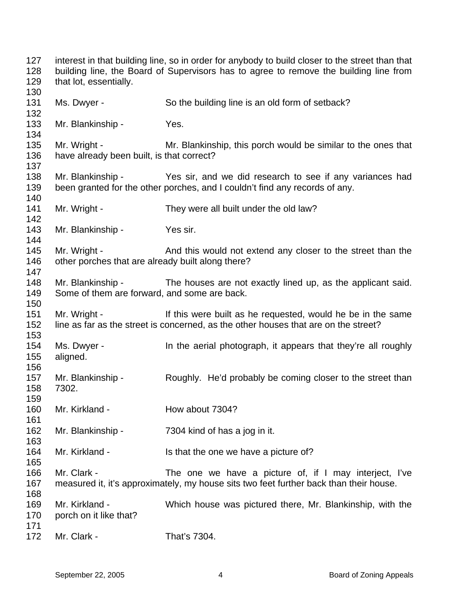interest in that building line, so in order for anybody to build closer to the street than that building line, the Board of Supervisors has to agree to remove the building line from that lot, essentially. Ms. Dwyer - So the building line is an old form of setback? Mr. Blankinship - Yes. Mr. Wright - The Mr. Blankinship, this porch would be similar to the ones that have already been built, is that correct? Mr. Blankinship - Yes sir, and we did research to see if any variances had been granted for the other porches, and I couldn't find any records of any. Mr. Wright - They were all built under the old law? Mr. Blankinship - Yes sir. Mr. Wright - And this would not extend any closer to the street than the other porches that are already built along there? Mr. Blankinship - The houses are not exactly lined up, as the applicant said. Some of them are forward, and some are back. Mr. Wright - If this were built as he requested, would he be in the same line as far as the street is concerned, as the other houses that are on the street? Ms. Dwyer - In the aerial photograph, it appears that they're all roughly aligned. Mr. Blankinship - Roughly. He'd probably be coming closer to the street than 7302. Mr. Kirkland - **How about 7304?** Mr. Blankinship - 7304 kind of has a jog in it. Mr. Kirkland - Is that the one we have a picture of? Mr. Clark - The one we have a picture of, if I may interject, I've measured it, it's approximately, my house sits two feet further back than their house. Mr. Kirkland - Which house was pictured there, Mr. Blankinship, with the porch on it like that? Mr. Clark - That's 7304.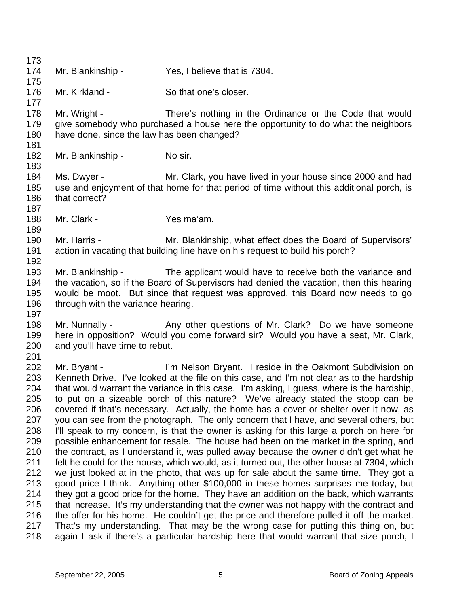173 174 175 176 177 178 179 180 181 182 183 184 185 186 187 188 189 190 191 192 193 194 195 196 197 198 199 200 201 202 203 204 205 206 207 208 209 210 211 212 213 214 215 216 217 218 Mr. Blankinship - Yes, I believe that is 7304. Mr. Kirkland - So that one's closer. Mr. Wright - There's nothing in the Ordinance or the Code that would give somebody who purchased a house here the opportunity to do what the neighbors have done, since the law has been changed? Mr. Blankinship - No sir. Ms. Dwyer - The Mr. Clark, you have lived in your house since 2000 and had use and enjoyment of that home for that period of time without this additional porch, is that correct? Mr. Clark - Yes ma'am. Mr. Harris - Mr. Blankinship, what effect does the Board of Supervisors' action in vacating that building line have on his request to build his porch? Mr. Blankinship - The applicant would have to receive both the variance and the vacation, so if the Board of Supervisors had denied the vacation, then this hearing would be moot. But since that request was approved, this Board now needs to go through with the variance hearing. Mr. Nunnally - Any other questions of Mr. Clark? Do we have someone here in opposition? Would you come forward sir? Would you have a seat, Mr. Clark, and you'll have time to rebut. Mr. Bryant - I'm Nelson Bryant. I reside in the Oakmont Subdivision on Kenneth Drive. I've looked at the file on this case, and I'm not clear as to the hardship that would warrant the variance in this case. I'm asking, I guess, where is the hardship, to put on a sizeable porch of this nature? We've already stated the stoop can be covered if that's necessary. Actually, the home has a cover or shelter over it now, as you can see from the photograph. The only concern that I have, and several others, but I'll speak to my concern, is that the owner is asking for this large a porch on here for possible enhancement for resale. The house had been on the market in the spring, and the contract, as I understand it, was pulled away because the owner didn't get what he felt he could for the house, which would, as it turned out, the other house at 7304, which we just looked at in the photo, that was up for sale about the same time. They got a good price I think. Anything other \$100,000 in these homes surprises me today, but they got a good price for the home. They have an addition on the back, which warrants that increase. It's my understanding that the owner was not happy with the contract and the offer for his home. He couldn't get the price and therefore pulled it off the market. That's my understanding. That may be the wrong case for putting this thing on, but again I ask if there's a particular hardship here that would warrant that size porch, I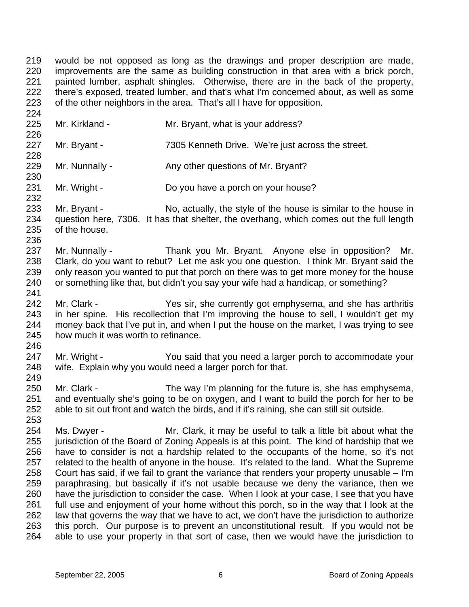219 220 221 222 223 would be not opposed as long as the drawings and proper description are made, improvements are the same as building construction in that area with a brick porch, painted lumber, asphalt shingles. Otherwise, there are in the back of the property, there's exposed, treated lumber, and that's what I'm concerned about, as well as some of the other neighbors in the area. That's all I have for opposition.

225 Mr. Kirkland - Mr. Bryant, what is your address?

224

226

228

230

232

236

241

246

249

- 227 Mr. Bryant - 7305 Kenneth Drive. We're just across the street.
- 229 Mr. Nunnally - Any other questions of Mr. Bryant?
- 231 Mr. Wright - Do you have a porch on your house?
- 233 234 235 Mr. Bryant - No, actually, the style of the house is similar to the house in question here, 7306. It has that shelter, the overhang, which comes out the full length of the house.
- 237 238 239 240 Mr. Nunnally - Thank you Mr. Bryant. Anyone else in opposition? Mr. Clark, do you want to rebut? Let me ask you one question. I think Mr. Bryant said the only reason you wanted to put that porch on there was to get more money for the house or something like that, but didn't you say your wife had a handicap, or something?
- 242 243 244 245 Mr. Clark - Yes sir, she currently got emphysema, and she has arthritis in her spine. His recollection that I'm improving the house to sell, I wouldn't get my money back that I've put in, and when I put the house on the market, I was trying to see how much it was worth to refinance.
- 247 248 Mr. Wright - You said that you need a larger porch to accommodate your wife. Explain why you would need a larger porch for that.
- 250 251 252 Mr. Clark - The way I'm planning for the future is, she has emphysema, and eventually she's going to be on oxygen, and I want to build the porch for her to be able to sit out front and watch the birds, and if it's raining, she can still sit outside.
- 254 255 256 257 258 259 260 261 262 263 264 Ms. Dwyer - Mr. Clark, it may be useful to talk a little bit about what the jurisdiction of the Board of Zoning Appeals is at this point. The kind of hardship that we have to consider is not a hardship related to the occupants of the home, so it's not related to the health of anyone in the house. It's related to the land. What the Supreme Court has said, if we fail to grant the variance that renders your property unusable – I'm paraphrasing, but basically if it's not usable because we deny the variance, then we have the jurisdiction to consider the case. When I look at your case, I see that you have full use and enjoyment of your home without this porch, so in the way that I look at the law that governs the way that we have to act, we don't have the jurisdiction to authorize this porch. Our purpose is to prevent an unconstitutional result. If you would not be able to use your property in that sort of case, then we would have the jurisdiction to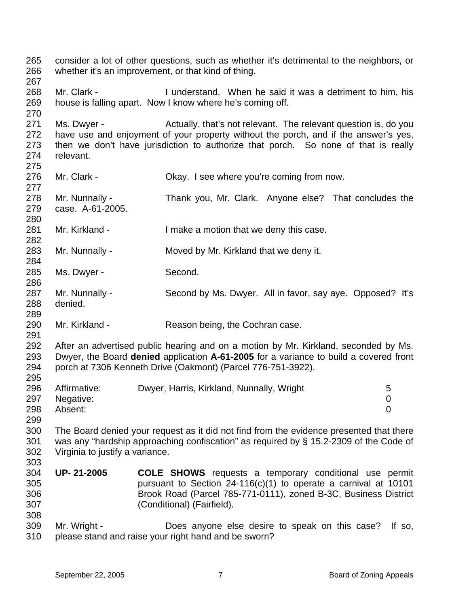265 266 267 268 269 270 271 272 273 274 275 276 277 278 279 280 281 282 283 284 285 286 287 288 289 290 291 292 293 294 295 296 297 298 299 300 301 302 303 304 305 306 307 308 309 310 consider a lot of other questions, such as whether it's detrimental to the neighbors, or whether it's an improvement, or that kind of thing. Mr. Clark - I understand. When he said it was a detriment to him, his house is falling apart. Now I know where he's coming off. Ms. Dwyer - Actually, that's not relevant. The relevant question is, do you have use and enjoyment of your property without the porch, and if the answer's yes, then we don't have jurisdiction to authorize that porch. So none of that is really relevant. Mr. Clark - Carries Chay. I see where you're coming from now. Mr. Nunnally - Thank you, Mr. Clark. Anyone else? That concludes the case. A-61-2005. Mr. Kirkland - The Muslim I make a motion that we deny this case. Mr. Nunnally - Moved by Mr. Kirkland that we deny it. Ms. Dwyer - Second. Mr. Nunnally - Second by Ms. Dwyer. All in favor, say aye. Opposed? It's denied. Mr. Kirkland - Reason being, the Cochran case. After an advertised public hearing and on a motion by Mr. Kirkland, seconded by Ms. Dwyer, the Board **denied** application **A-61-2005** for a variance to build a covered front porch at 7306 Kenneth Drive (Oakmont) (Parcel 776-751-3922). Affirmative: Dwyer, Harris, Kirkland, Nunnally, Wright 5 Negative: 0 Absent: 0 The Board denied your request as it did not find from the evidence presented that there was any "hardship approaching confiscation" as required by § 15.2-2309 of the Code of Virginia to justify a variance. **UP- 21-2005 COLE SHOWS** requests a temporary conditional use permit pursuant to Section 24-116(c)(1) to operate a carnival at 10101 Brook Road (Parcel 785-771-0111), zoned B-3C, Business District (Conditional) (Fairfield). Mr. Wright - Does anyone else desire to speak on this case? If so, please stand and raise your right hand and be sworn?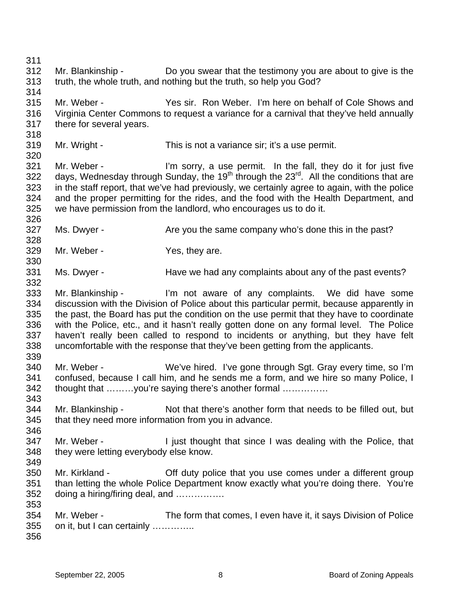311 312 313 314 315 316 317 318 319 320 321 322 323 324 325 326 327 328 329 330 331 332 333 334 335 336 337 338 339 340 341 342 343 344 345 346 347 348 349 350 351 352 353 354 355 356 Mr. Blankinship - Do you swear that the testimony you are about to give is the truth, the whole truth, and nothing but the truth, so help you God? Mr. Weber - Yes sir. Ron Weber. I'm here on behalf of Cole Shows and Virginia Center Commons to request a variance for a carnival that they've held annually there for several years. Mr. Wright - This is not a variance sir; it's a use permit. Mr. Weber - I'm sorry, a use permit. In the fall, they do it for just five days, Wednesday through Sunday, the 19<sup>th</sup> through the 23<sup>rd</sup>. All the conditions that are in the staff report, that we've had previously, we certainly agree to again, with the police and the proper permitting for the rides, and the food with the Health Department, and we have permission from the landlord, who encourages us to do it. Ms. Dwyer - The State you the same company who's done this in the past? Mr. Weber - Yes, they are. Ms. Dwyer - Have we had any complaints about any of the past events? Mr. Blankinship - I'm not aware of any complaints. We did have some discussion with the Division of Police about this particular permit, because apparently in the past, the Board has put the condition on the use permit that they have to coordinate with the Police, etc., and it hasn't really gotten done on any formal level. The Police haven't really been called to respond to incidents or anything, but they have felt uncomfortable with the response that they've been getting from the applicants. Mr. Weber - We've hired. I've gone through Sgt. Gray every time, so I'm confused, because I call him, and he sends me a form, and we hire so many Police, I thought that ………you're saying there's another formal …………… Mr. Blankinship - Not that there's another form that needs to be filled out, but that they need more information from you in advance. Mr. Weber - The Unit thought that since I was dealing with the Police, that they were letting everybody else know. Mr. Kirkland - Cff duty police that you use comes under a different group than letting the whole Police Department know exactly what you're doing there. You're doing a hiring/firing deal, and ……………. Mr. Weber - The form that comes, I even have it, it says Division of Police on it, but I can certainly …………..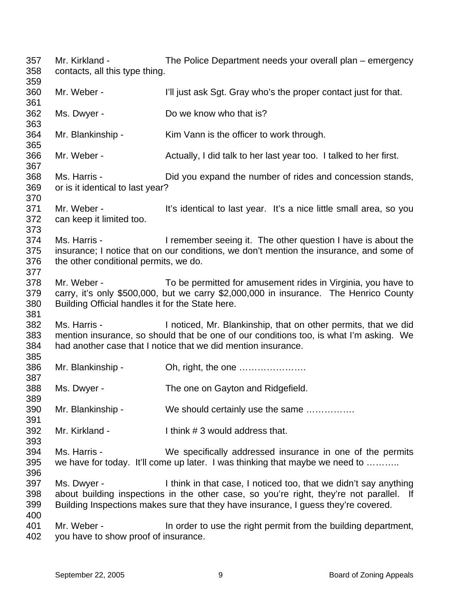357 358 359 360 361 362 363 364 365 366 367 368 369 370 371 372 373 374 375 376 377 378 379 380 381 382 383 384 385 386 387 388 389 390 391 392 393 394 395 396 397 398 399 400 401 402 Mr. Kirkland - The Police Department needs your overall plan – emergency contacts, all this type thing. Mr. Weber - **I'll just ask Sgt. Gray who's the proper contact just for that.** Ms. Dwyer - Do we know who that is? Mr. Blankinship - Kim Vann is the officer to work through. Mr. Weber - Actually, I did talk to her last year too. I talked to her first. Ms. Harris - Did you expand the number of rides and concession stands, or is it identical to last year? Mr. Weber - It's identical to last year. It's a nice little small area, so you can keep it limited too. Ms. Harris - The Music Hermember seeing it. The other question I have is about the insurance; I notice that on our conditions, we don't mention the insurance, and some of the other conditional permits, we do. Mr. Weber - To be permitted for amusement rides in Virginia, you have to carry, it's only \$500,000, but we carry \$2,000,000 in insurance. The Henrico County Building Official handles it for the State here. Ms. Harris - Inoticed, Mr. Blankinship, that on other permits, that we did mention insurance, so should that be one of our conditions too, is what I'm asking. We had another case that I notice that we did mention insurance. Mr. Blankinship - Ch, right, the one ………………… Ms. Dwyer - The one on Gayton and Ridgefield. Mr. Blankinship - We should certainly use the same …………… Mr. Kirkland - I think # 3 would address that. Ms. Harris - We specifically addressed insurance in one of the permits we have for today. It'll come up later. I was thinking that maybe we need to .......... Ms. Dwyer - I think in that case, I noticed too, that we didn't say anything about building inspections in the other case, so you're right, they're not parallel. If Building Inspections makes sure that they have insurance, I guess they're covered. Mr. Weber - In order to use the right permit from the building department, you have to show proof of insurance.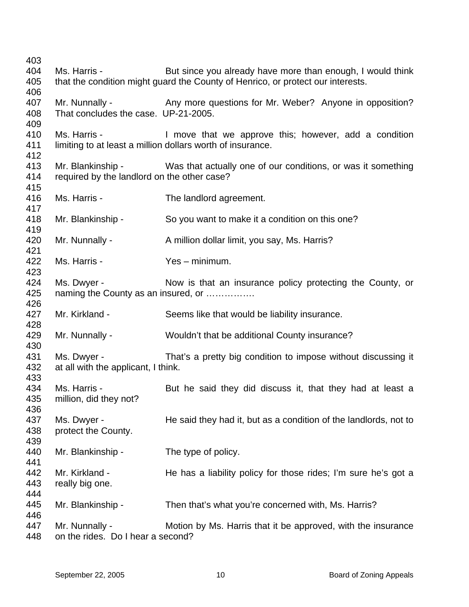Ms. Harris - But since you already have more than enough, I would think that the condition might guard the County of Henrico, or protect our interests. Mr. Nunnally - Any more questions for Mr. Weber? Anyone in opposition? That concludes the case. UP-21-2005. Ms. Harris - The Move that we approve this; however, add a condition limiting to at least a million dollars worth of insurance. Mr. Blankinship - Was that actually one of our conditions, or was it something required by the landlord on the other case? Ms. Harris - The landlord agreement. Mr. Blankinship - So you want to make it a condition on this one? Mr. Nunnally - A million dollar limit, you say, Ms. Harris? Ms. Harris - Yes – minimum. Ms. Dwyer - Now is that an insurance policy protecting the County, or naming the County as an insured, or ……………. Mr. Kirkland - Seems like that would be liability insurance. Mr. Nunnally - Wouldn't that be additional County insurance? Ms. Dwyer - That's a pretty big condition to impose without discussing it at all with the applicant, I think. Ms. Harris - But he said they did discuss it, that they had at least a million, did they not? Ms. Dwyer - He said they had it, but as a condition of the landlords, not to protect the County. Mr. Blankinship - The type of policy. Mr. Kirkland - The has a liability policy for those rides; I'm sure he's got a really big one. Mr. Blankinship - Then that's what you're concerned with, Ms. Harris? Mr. Nunnally - Motion by Ms. Harris that it be approved, with the insurance on the rides. Do I hear a second?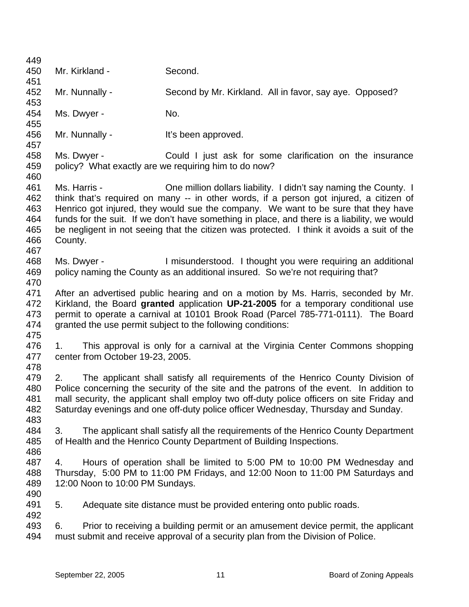| 449        |                                  |                                                                                             |
|------------|----------------------------------|---------------------------------------------------------------------------------------------|
| 450        | Mr. Kirkland -                   | Second.                                                                                     |
| 451        |                                  |                                                                                             |
| 452        | Mr. Nunnally -                   | Second by Mr. Kirkland. All in favor, say aye. Opposed?                                     |
| 453        |                                  |                                                                                             |
| 454        | Ms. Dwyer -                      | No.                                                                                         |
| 455<br>456 | Mr. Nunnally -                   |                                                                                             |
| 457        |                                  | It's been approved.                                                                         |
| 458        | Ms. Dwyer -                      | Could I just ask for some clarification on the insurance                                    |
| 459        |                                  | policy? What exactly are we requiring him to do now?                                        |
| 460        |                                  |                                                                                             |
| 461        | Ms. Harris -                     | One million dollars liability. I didn't say naming the County. I                            |
| 462        |                                  | think that's required on many -- in other words, if a person got injured, a citizen of      |
| 463        |                                  | Henrico got injured, they would sue the company. We want to be sure that they have          |
| 464        |                                  | funds for the suit. If we don't have something in place, and there is a liability, we would |
| 465        |                                  | be negligent in not seeing that the citizen was protected. I think it avoids a suit of the  |
| 466        | County.                          |                                                                                             |
| 467        |                                  |                                                                                             |
| 468        | Ms. Dwyer -                      | I misunderstood. I thought you were requiring an additional                                 |
| 469<br>470 |                                  | policy naming the County as an additional insured. So we're not requiring that?             |
| 471        |                                  | After an advertised public hearing and on a motion by Ms. Harris, seconded by Mr.           |
| 472        |                                  | Kirkland, the Board granted application UP-21-2005 for a temporary conditional use          |
| 473        |                                  | permit to operate a carnival at 10101 Brook Road (Parcel 785-771-0111). The Board           |
| 474        |                                  | granted the use permit subject to the following conditions:                                 |
| 475        |                                  |                                                                                             |
| 476        | 1.                               | This approval is only for a carnival at the Virginia Center Commons shopping                |
| 477        | center from October 19-23, 2005. |                                                                                             |
| 478        |                                  |                                                                                             |
| 479        | 2.                               | The applicant shall satisfy all requirements of the Henrico County Division of              |
| 480        |                                  | Police concerning the security of the site and the patrons of the event. In addition to     |
| 481        |                                  | mall security, the applicant shall employ two off-duty police officers on site Friday and   |
| 482<br>483 |                                  | Saturday evenings and one off-duty police officer Wednesday, Thursday and Sunday.           |
| 484        | 3.                               | The applicant shall satisfy all the requirements of the Henrico County Department           |
| 485        |                                  | of Health and the Henrico County Department of Building Inspections.                        |
| 486        |                                  |                                                                                             |
| 487        | 4.                               | Hours of operation shall be limited to 5:00 PM to 10:00 PM Wednesday and                    |
| 488        |                                  | Thursday, 5:00 PM to 11:00 PM Fridays, and 12:00 Noon to 11:00 PM Saturdays and             |
| 489        | 12:00 Noon to 10:00 PM Sundays.  |                                                                                             |
| 490        |                                  |                                                                                             |
| 491        | 5.                               | Adequate site distance must be provided entering onto public roads.                         |
| 492        |                                  |                                                                                             |
| 493        | 6.                               | Prior to receiving a building permit or an amusement device permit, the applicant           |
| 494        |                                  | must submit and receive approval of a security plan from the Division of Police.            |
|            |                                  |                                                                                             |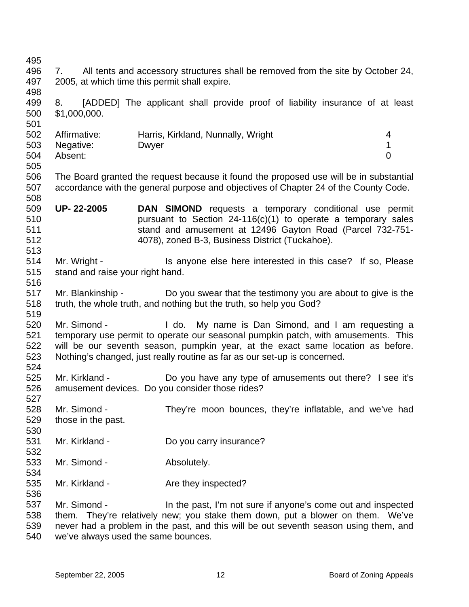495 496 497 498 499 500 501 502 503 504 505 506 507 508 509 510 511 512 513 514 515 516 517 518 519 520 521 522 523 524 525 526 527 528 529 530 531 532 533 534 535 536 537 538 539 540 7. All tents and accessory structures shall be removed from the site by October 24, 2005, at which time this permit shall expire. 8. [ADDED] The applicant shall provide proof of liability insurance of at least \$1,000,000. Affirmative: Harris, Kirkland, Nunnally, Wright 4 Negative: Dwyer 2008 Dwyer 2009 1 Absent: 0 The Board granted the request because it found the proposed use will be in substantial accordance with the general purpose and objectives of Chapter 24 of the County Code. **UP- 22-2005 DAN SIMOND** requests a temporary conditional use permit pursuant to Section 24-116(c)(1) to operate a temporary sales stand and amusement at 12496 Gayton Road (Parcel 732-751- 4078), zoned B-3, Business District (Tuckahoe). Mr. Wright - This anyone else here interested in this case? If so, Please stand and raise your right hand. Mr. Blankinship - Do you swear that the testimony you are about to give is the truth, the whole truth, and nothing but the truth, so help you God? Mr. Simond - I do. My name is Dan Simond, and I am requesting a temporary use permit to operate our seasonal pumpkin patch, with amusements. This will be our seventh season, pumpkin year, at the exact same location as before. Nothing's changed, just really routine as far as our set-up is concerned. Mr. Kirkland - Do you have any type of amusements out there? I see it's amusement devices. Do you consider those rides? Mr. Simond - They're moon bounces, they're inflatable, and we've had those in the past. Mr. Kirkland - Do you carry insurance? Mr. Simond - Absolutely. Mr. Kirkland - The Are they inspected? Mr. Simond - The past, I'm not sure if anyone's come out and inspected them. They're relatively new; you stake them down, put a blower on them. We've never had a problem in the past, and this will be out seventh season using them, and we've always used the same bounces.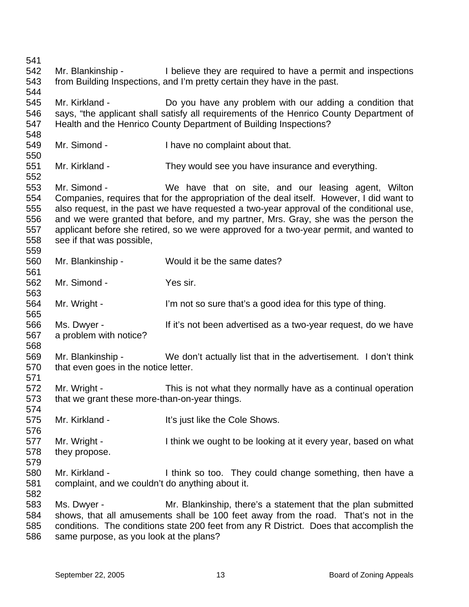541 542 543 544 545 546 547 548 549 550 551 552 553 554 555 556 557 558 559 560 561 562 563 564 565 566 567 568 569 570 571 572 573 574 575 576 577 578 579 580 581 582 583 584 585 586 Mr. Blankinship - I believe they are required to have a permit and inspections from Building Inspections, and I'm pretty certain they have in the past. Mr. Kirkland - **Do** you have any problem with our adding a condition that says, "the applicant shall satisfy all requirements of the Henrico County Department of Health and the Henrico County Department of Building Inspections? Mr. Simond - I have no complaint about that. Mr. Kirkland - They would see you have insurance and everything. Mr. Simond - We have that on site, and our leasing agent, Wilton Companies, requires that for the appropriation of the deal itself. However, I did want to also request, in the past we have requested a two-year approval of the conditional use, and we were granted that before, and my partner, Mrs. Gray, she was the person the applicant before she retired, so we were approved for a two-year permit, and wanted to see if that was possible, Mr. Blankinship - Would it be the same dates? Mr. Simond - Yes sir. Mr. Wright - I'm not so sure that's a good idea for this type of thing. Ms. Dwyer - The If it's not been advertised as a two-year request, do we have a problem with notice? Mr. Blankinship - We don't actually list that in the advertisement. I don't think that even goes in the notice letter. Mr. Wright - This is not what they normally have as a continual operation that we grant these more-than-on-year things. Mr. Kirkland - It's just like the Cole Shows. Mr. Wright - I think we ought to be looking at it every year, based on what they propose. Mr. Kirkland - I think so too. They could change something, then have a complaint, and we couldn't do anything about it. Ms. Dwyer - Mr. Blankinship, there's a statement that the plan submitted shows, that all amusements shall be 100 feet away from the road. That's not in the conditions. The conditions state 200 feet from any R District. Does that accomplish the same purpose, as you look at the plans?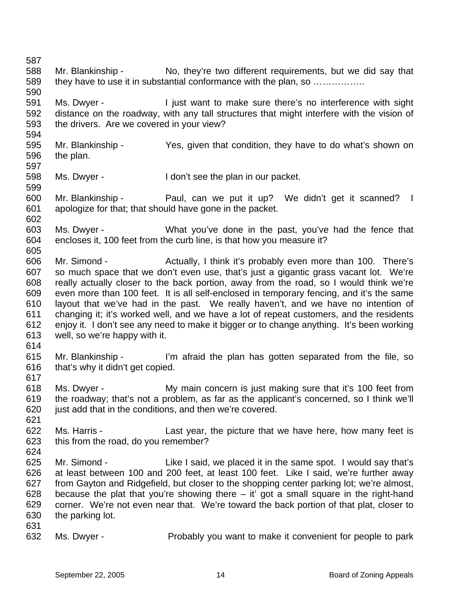587 588 589 590 591 592 593 594 595 596 597 598 599 600 601 602 603 604 605 606 607 608 609 610 611 612 613 614 615 616 617 618 619 620 621 622 623 624 625 626 627 628 629 630 631 632 Mr. Blankinship - No, they're two different requirements, but we did say that they have to use it in substantial conformance with the plan, so …………….. Ms. Dwyer - I just want to make sure there's no interference with sight distance on the roadway, with any tall structures that might interfere with the vision of the drivers. Are we covered in your view? Mr. Blankinship - Yes, given that condition, they have to do what's shown on the plan. Ms. Dwyer - The Mon't see the plan in our packet. Mr. Blankinship - Paul, can we put it up? We didn't get it scanned? I apologize for that; that should have gone in the packet. Ms. Dwyer - What you've done in the past, you've had the fence that encloses it, 100 feet from the curb line, is that how you measure it? Mr. Simond - There's Actually, I think it's probably even more than 100. There's so much space that we don't even use, that's just a gigantic grass vacant lot. We're really actually closer to the back portion, away from the road, so I would think we're even more than 100 feet. It is all self-enclosed in temporary fencing, and it's the same layout that we've had in the past. We really haven't, and we have no intention of changing it; it's worked well, and we have a lot of repeat customers, and the residents enjoy it. I don't see any need to make it bigger or to change anything. It's been working well, so we're happy with it. Mr. Blankinship - I'm afraid the plan has gotten separated from the file, so that's why it didn't get copied. Ms. Dwyer - My main concern is just making sure that it's 100 feet from the roadway; that's not a problem, as far as the applicant's concerned, so I think we'll just add that in the conditions, and then we're covered. Ms. Harris - Last year, the picture that we have here, how many feet is this from the road, do you remember? Mr. Simond - The Like I said, we placed it in the same spot. I would say that's at least between 100 and 200 feet, at least 100 feet. Like I said, we're further away from Gayton and Ridgefield, but closer to the shopping center parking lot; we're almost, because the plat that you're showing there  $-$  it' got a small square in the right-hand corner. We're not even near that. We're toward the back portion of that plat, closer to the parking lot. Ms. Dwyer - Probably you want to make it convenient for people to park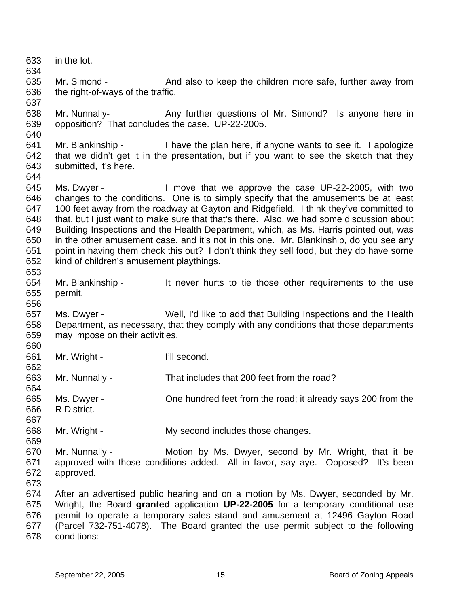633 634 635 636 637 638 639 640 641 642 643 644 645 646 647 648 649 650 651 652 653 654 655 656 657 658 659 660 661 662 663 664 665 666 667 668 669 670 671 672 673 674 675 676 677 678 in the lot. Mr. Simond - And also to keep the children more safe, further away from the right-of-ways of the traffic. Mr. Nunnally- **Any further questions of Mr. Simond?** Is anyone here in opposition? That concludes the case. UP-22-2005. Mr. Blankinship - I have the plan here, if anyone wants to see it. I apologize that we didn't get it in the presentation, but if you want to see the sketch that they submitted, it's here. Ms. Dwyer - I move that we approve the case UP-22-2005, with two changes to the conditions. One is to simply specify that the amusements be at least 100 feet away from the roadway at Gayton and Ridgefield. I think they've committed to that, but I just want to make sure that that's there. Also, we had some discussion about Building Inspections and the Health Department, which, as Ms. Harris pointed out, was in the other amusement case, and it's not in this one. Mr. Blankinship, do you see any point in having them check this out? I don't think they sell food, but they do have some kind of children's amusement playthings. Mr. Blankinship - The lt never hurts to tie those other requirements to the use permit. Ms. Dwyer - Well, I'd like to add that Building Inspections and the Health Department, as necessary, that they comply with any conditions that those departments may impose on their activities. Mr. Wright - I'll second. Mr. Nunnally - That includes that 200 feet from the road? Ms. Dwyer - Che hundred feet from the road; it already says 200 from the R District. Mr. Wright - The My second includes those changes. Mr. Nunnally - **Motion by Ms. Dwyer, second by Mr. Wright, that it be** approved with those conditions added. All in favor, say aye. Opposed? It's been approved. After an advertised public hearing and on a motion by Ms. Dwyer, seconded by Mr. Wright, the Board **granted** application **UP-22-2005** for a temporary conditional use permit to operate a temporary sales stand and amusement at 12496 Gayton Road (Parcel 732-751-4078). The Board granted the use permit subject to the following conditions: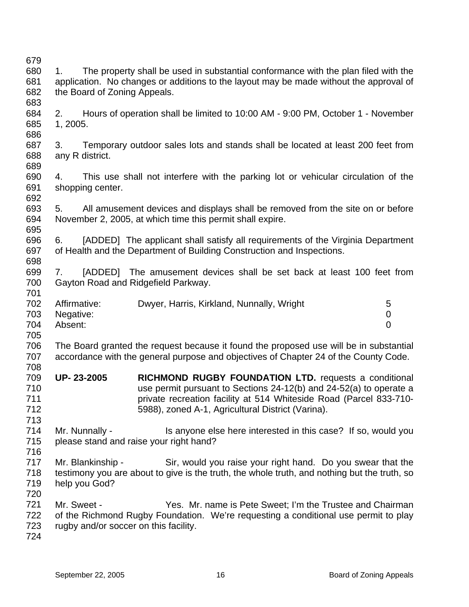679 680 681 682 683 684 685 686 687 688 689 690 691 692 693 694 695 696 697 698 699 700 701 702 703 704 705 706 707 708 709 710 711 712 713 714 715 716 717 718 719 720 721 722 723 724 1. The property shall be used in substantial conformance with the plan filed with the application. No changes or additions to the layout may be made without the approval of the Board of Zoning Appeals. 2. Hours of operation shall be limited to 10:00 AM - 9:00 PM, October 1 - November 1, 2005. 3. Temporary outdoor sales lots and stands shall be located at least 200 feet from any R district. 4. This use shall not interfere with the parking lot or vehicular circulation of the shopping center. 5. All amusement devices and displays shall be removed from the site on or before November 2, 2005, at which time this permit shall expire. 6. [ADDED] The applicant shall satisfy all requirements of the Virginia Department of Health and the Department of Building Construction and Inspections. 7. [ADDED] The amusement devices shall be set back at least 100 feet from Gayton Road and Ridgefield Parkway. Affirmative: Dwyer, Harris, Kirkland, Nunnally, Wright 5 Negative: 0 Absent: 0 The Board granted the request because it found the proposed use will be in substantial accordance with the general purpose and objectives of Chapter 24 of the County Code. **UP- 23-2005 RICHMOND RUGBY FOUNDATION LTD.** requests a conditional use permit pursuant to Sections 24-12(b) and 24-52(a) to operate a private recreation facility at 514 Whiteside Road (Parcel 833-710- 5988), zoned A-1, Agricultural District (Varina). Mr. Nunnally - This anyone else here interested in this case? If so, would you please stand and raise your right hand? Mr. Blankinship - Sir, would you raise your right hand. Do you swear that the testimony you are about to give is the truth, the whole truth, and nothing but the truth, so help you God? Mr. Sweet - Yes. Mr. name is Pete Sweet; I'm the Trustee and Chairman of the Richmond Rugby Foundation. We're requesting a conditional use permit to play rugby and/or soccer on this facility.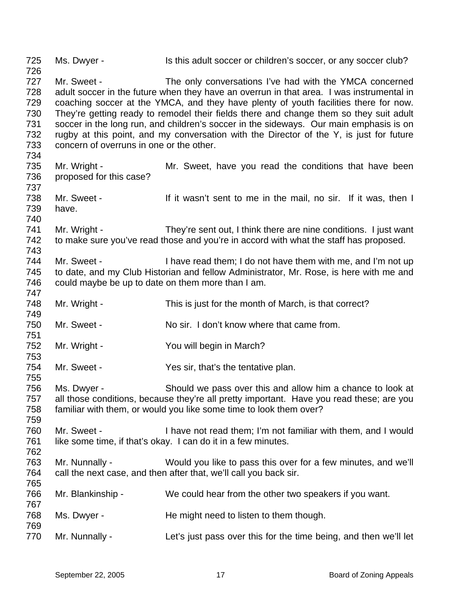725 726 727 728 729 730 731 732 733 734 735 736 737 738 739 740 741 742 743 744 745 746 747 748 749 750 751 752 753 754 755 756 757 758 759 760 761 762 763 764 765 766 767 768 769 770 Ms. Dwyer - Is this adult soccer or children's soccer, or any soccer club? Mr. Sweet - The only conversations I've had with the YMCA concerned adult soccer in the future when they have an overrun in that area. I was instrumental in coaching soccer at the YMCA, and they have plenty of youth facilities there for now. They're getting ready to remodel their fields there and change them so they suit adult soccer in the long run, and children's soccer in the sideways. Our main emphasis is on rugby at this point, and my conversation with the Director of the Y, is just for future concern of overruns in one or the other. Mr. Wright - The Mr. Sweet, have you read the conditions that have been proposed for this case? Mr. Sweet - If it wasn't sent to me in the mail, no sir. If it was, then I have. Mr. Wright - They're sent out, I think there are nine conditions. I just want to make sure you've read those and you're in accord with what the staff has proposed. Mr. Sweet - I have read them; I do not have them with me, and I'm not up to date, and my Club Historian and fellow Administrator, Mr. Rose, is here with me and could maybe be up to date on them more than I am. Mr. Wright - This is just for the month of March, is that correct? Mr. Sweet - No sir. I don't know where that came from. Mr. Wright - You will begin in March? Mr. Sweet - The Yes sir, that's the tentative plan. Ms. Dwyer - Should we pass over this and allow him a chance to look at all those conditions, because they're all pretty important. Have you read these; are you familiar with them, or would you like some time to look them over? Mr. Sweet - I have not read them; I'm not familiar with them, and I would like some time, if that's okay. I can do it in a few minutes. Mr. Nunnally - Would you like to pass this over for a few minutes, and we'll call the next case, and then after that, we'll call you back sir. Mr. Blankinship - We could hear from the other two speakers if you want. Ms. Dwyer - The might need to listen to them though. Mr. Nunnally - Let's just pass over this for the time being, and then we'll let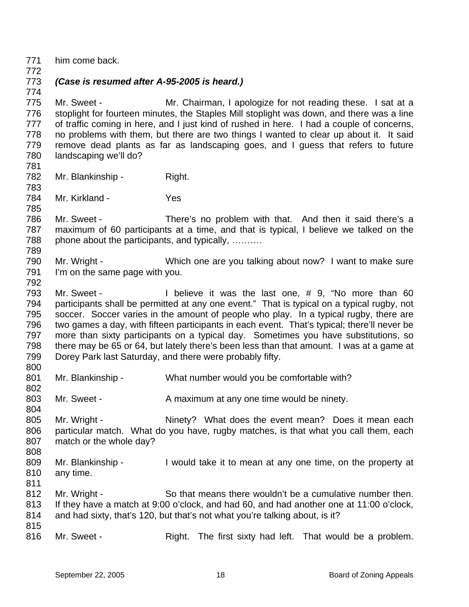- 771 him come back.
- 772

774

## 773 *(Case is resumed after A-95-2005 is heard.)*

775 776 777 778 779 780 Mr. Sweet - Mr. Chairman, I apologize for not reading these. I sat at a stoplight for fourteen minutes, the Staples Mill stoplight was down, and there was a line of traffic coming in here, and I just kind of rushed in here. I had a couple of concerns, no problems with them, but there are two things I wanted to clear up about it. It said remove dead plants as far as landscaping goes, and I guess that refers to future landscaping we'll do?

781

783

789

782 Mr. Blankinship - Right.

784 785 Mr. Kirkland - Yes

786 787 788 Mr. Sweet - There's no problem with that. And then it said there's a maximum of 60 participants at a time, and that is typical, I believe we talked on the phone about the participants, and typically, ……….

- 790 791 792 Mr. Wright - Which one are you talking about now? I want to make sure I'm on the same page with you.
- 793 794 795 796 797 798 799 800 Mr. Sweet - I believe it was the last one, # 9, "No more than 60 participants shall be permitted at any one event." That is typical on a typical rugby, not soccer. Soccer varies in the amount of people who play. In a typical rugby, there are two games a day, with fifteen participants in each event. That's typical; there'll never be more than sixty participants on a typical day. Sometimes you have substitutions, so there may be 65 or 64, but lately there's been less than that amount. I was at a game at Dorey Park last Saturday, and there were probably fifty.
- 801 802 Mr. Blankinship - What number would you be comfortable with?
- 803 Mr. Sweet - A maximum at any one time would be ninety.
- 805 806 807 808 Mr. Wright - The Suite of Ninety? What does the event mean? Does it mean each particular match. What do you have, rugby matches, is that what you call them, each match or the whole day?
- 809 810 Mr. Blankinship - I would take it to mean at any one time, on the property at any time.
- 811 812 813 814 Mr. Wright - So that means there wouldn't be a cumulative number then. If they have a match at 9:00 o'clock, and had 60, and had another one at 11:00 o'clock, and had sixty, that's 120, but that's not what you're talking about, is it?
- 815 816

804

Mr. Sweet - Right. The first sixty had left. That would be a problem.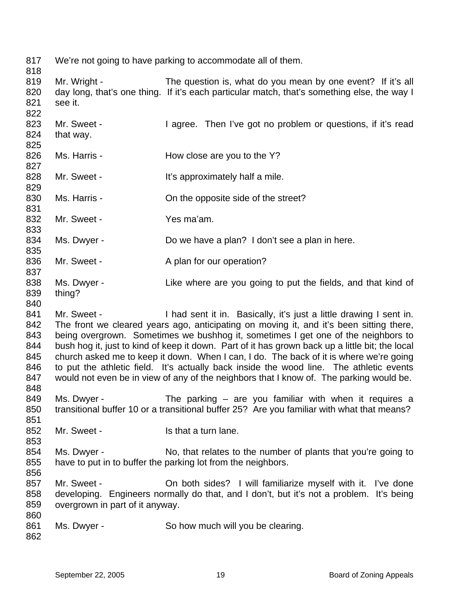817 We're not going to have parking to accommodate all of them.

818 819

820 821 Mr. Wright - The question is, what do you mean by one event? If it's all day long, that's one thing. If it's each particular match, that's something else, the way I see it.

822 823 824 825 826 827 828 829 830 831 832 833 834 835 836 Mr. Sweet - Then I've got no problem or questions, if it's read that way. Ms. Harris - The How close are you to the Y? Mr. Sweet - The Muslim H<sup>t's</sup> approximately half a mile. Ms. Harris - Child the opposite side of the street? Mr. Sweet - Yes ma'am. Ms. Dwyer - Do we have a plan? I don't see a plan in here. Mr. Sweet - A plan for our operation?

- 837 838 839 Ms. Dwyer - Like where are you going to put the fields, and that kind of thing?
- 840

841 842 843 844 845 846 847 848 Mr. Sweet - I had sent it in. Basically, it's just a little drawing I sent in. The front we cleared years ago, anticipating on moving it, and it's been sitting there, being overgrown. Sometimes we bushhog it, sometimes I get one of the neighbors to bush hog it, just to kind of keep it down. Part of it has grown back up a little bit; the local church asked me to keep it down. When I can, I do. The back of it is where we're going to put the athletic field. It's actually back inside the wood line. The athletic events would not even be in view of any of the neighbors that I know of. The parking would be.

- 849 850 851 Ms. Dwyer - The parking  $-$  are you familiar with when it requires a transitional buffer 10 or a transitional buffer 25? Are you familiar with what that means?
- 852 Mr. Sweet - The Is that a turn lane.
- 854 855 856 Ms. Dwyer - No, that relates to the number of plants that you're going to have to put in to buffer the parking lot from the neighbors.
- 857 858 859 860 Mr. Sweet - On both sides? I will familiarize myself with it. I've done developing. Engineers normally do that, and I don't, but it's not a problem. It's being overgrown in part of it anyway.
- 861 Ms. Dwyer - So how much will you be clearing.

862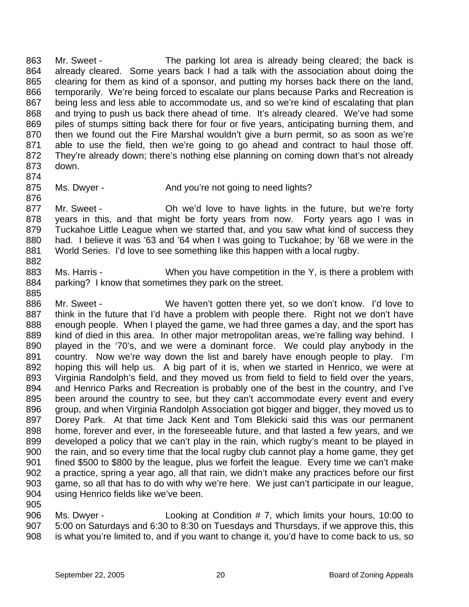863 864 865 866 867 868 869 870 871 872 873 Mr. Sweet - The parking lot area is already being cleared; the back is already cleared. Some years back I had a talk with the association about doing the clearing for them as kind of a sponsor, and putting my horses back there on the land, temporarily. We're being forced to escalate our plans because Parks and Recreation is being less and less able to accommodate us, and so we're kind of escalating that plan and trying to push us back there ahead of time. It's already cleared. We've had some piles of stumps sitting back there for four or five years, anticipating burning them, and then we found out the Fire Marshal wouldn't give a burn permit, so as soon as we're able to use the field, then we're going to go ahead and contract to haul those off. They're already down; there's nothing else planning on coming down that's not already down.

874

- 875 876
- Ms. Dwyer The And you're not going to need lights?
- 877 878 879 880 881 882 Mr. Sweet - Oh we'd love to have lights in the future, but we're forty years in this, and that might be forty years from now. Forty years ago I was in Tuckahoe Little League when we started that, and you saw what kind of success they had. I believe it was '63 and '64 when I was going to Tuckahoe; by '68 we were in the World Series. I'd love to see something like this happen with a local rugby.
- 883 884 Ms. Harris - When you have competition in the Y, is there a problem with parking? I know that sometimes they park on the street.
- 886 887 888 889 890 891 892 893 894 895 896 897 898 899 900 901 902 903 904 905 Mr. Sweet - We haven't gotten there yet, so we don't know. I'd love to think in the future that I'd have a problem with people there. Right not we don't have enough people. When I played the game, we had three games a day, and the sport has kind of died in this area. In other major metropolitan areas, we're falling way behind. I played in the '70's, and we were a dominant force. We could play anybody in the country. Now we're way down the list and barely have enough people to play. I'm hoping this will help us. A big part of it is, when we started in Henrico, we were at Virginia Randolph's field, and they moved us from field to field to field over the years, and Henrico Parks and Recreation is probably one of the best in the country, and I've been around the country to see, but they can't accommodate every event and every group, and when Virginia Randolph Association got bigger and bigger, they moved us to Dorey Park. At that time Jack Kent and Tom Blekicki said this was our permanent home, forever and ever, in the foreseeable future, and that lasted a few years, and we developed a policy that we can't play in the rain, which rugby's meant to be played in the rain, and so every time that the local rugby club cannot play a home game, they get fined \$500 to \$800 by the league, plus we forfeit the league. Every time we can't make a practice, spring a year ago, all that rain, we didn't make any practices before our first game, so all that has to do with why we're here. We just can't participate in our league, using Henrico fields like we've been.
- 906 907 908 Ms. Dwyer - Looking at Condition # 7, which limits your hours, 10:00 to 5:00 on Saturdays and 6:30 to 8:30 on Tuesdays and Thursdays, if we approve this, this is what you're limited to, and if you want to change it, you'd have to come back to us, so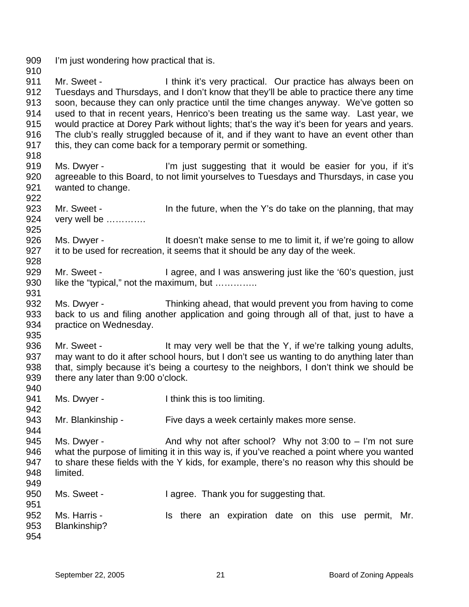909 I'm just wondering how practical that is.

910 911 912 913 914 915 916 917 Mr. Sweet - Think it's very practical. Our practice has always been on Tuesdays and Thursdays, and I don't know that they'll be able to practice there any time soon, because they can only practice until the time changes anyway. We've gotten so used to that in recent years, Henrico's been treating us the same way. Last year, we would practice at Dorey Park without lights; that's the way it's been for years and years. The club's really struggled because of it, and if they want to have an event other than this, they can come back for a temporary permit or something.

918

925

931

935

942

- 919 920 921 922 Ms. Dwyer - The l'm just suggesting that it would be easier for you, if it's agreeable to this Board, to not limit yourselves to Tuesdays and Thursdays, in case you wanted to change.
- 923 924 Mr. Sweet - The future, when the Y's do take on the planning, that may very well be ………….
- 926 927 928 Ms. Dwyer - It doesn't make sense to me to limit it, if we're going to allow it to be used for recreation, it seems that it should be any day of the week.
- 929 930 Mr. Sweet - I agree, and I was answering just like the '60's question, just like the "typical," not the maximum, but …………..
- 932 933 934 Ms. Dwyer - Thinking ahead, that would prevent you from having to come back to us and filing another application and going through all of that, just to have a practice on Wednesday.
- 936 937 938 939 940 Mr. Sweet - It may very well be that the Y, if we're talking young adults, may want to do it after school hours, but I don't see us wanting to do anything later than that, simply because it's being a courtesy to the neighbors, I don't think we should be there any later than 9:00 o'clock.
- 941 Ms. Dwyer - Think this is too limiting.
- 943 Mr. Blankinship - Five days a week certainly makes more sense.
- 945 946 947 948 949 Ms. Dwyer -  $\blacksquare$  And why not after school? Why not 3:00 to  $\blacksquare$  I'm not sure what the purpose of limiting it in this way is, if you've reached a point where you wanted to share these fields with the Y kids, for example, there's no reason why this should be limited.
- 950 951 952 953 954 Ms. Sweet - Thank you for suggesting that. Ms. Harris - The Music Harris Is there an expiration date on this use permit, Mr. Blankinship?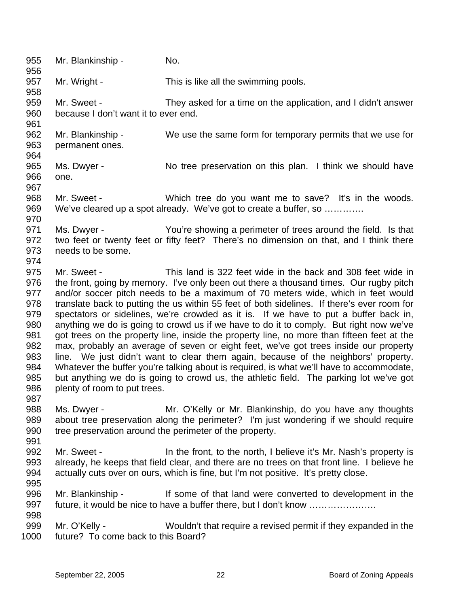955 956 957 958 959 960 961 962 963 964 965 966 967 968 969 970 971 972 973 974 975 976 977 978 979 980 981 982 983 984 985 986 987 988 989 990 991 992 993 994 995 996 997 998 999 1000 Mr. Blankinship - No. Mr. Wright - This is like all the swimming pools. Mr. Sweet - They asked for a time on the application, and I didn't answer because I don't want it to ever end. Mr. Blankinship - We use the same form for temporary permits that we use for permanent ones. Ms. Dwyer - No tree preservation on this plan. I think we should have one. Mr. Sweet - Which tree do you want me to save? It's in the woods. We've cleared up a spot already. We've got to create a buffer, so ............. Ms. Dwyer - You're showing a perimeter of trees around the field. Is that two feet or twenty feet or fifty feet? There's no dimension on that, and I think there needs to be some. Mr. Sweet - This land is 322 feet wide in the back and 308 feet wide in the front, going by memory. I've only been out there a thousand times. Our rugby pitch and/or soccer pitch needs to be a maximum of 70 meters wide, which in feet would translate back to putting the us within 55 feet of both sidelines. If there's ever room for spectators or sidelines, we're crowded as it is. If we have to put a buffer back in, anything we do is going to crowd us if we have to do it to comply. But right now we've got trees on the property line, inside the property line, no more than fifteen feet at the max, probably an average of seven or eight feet, we've got trees inside our property line. We just didn't want to clear them again, because of the neighbors' property. Whatever the buffer you're talking about is required, is what we'll have to accommodate, but anything we do is going to crowd us, the athletic field. The parking lot we've got plenty of room to put trees. Ms. Dwyer - Mr. O'Kelly or Mr. Blankinship, do you have any thoughts about tree preservation along the perimeter? I'm just wondering if we should require tree preservation around the perimeter of the property. Mr. Sweet - In the front, to the north, I believe it's Mr. Nash's property is already, he keeps that field clear, and there are no trees on that front line. I believe he actually cuts over on ours, which is fine, but I'm not positive. It's pretty close. Mr. Blankinship - If some of that land were converted to development in the future, it would be nice to have a buffer there, but I don't know …………………. Mr. O'Kelly - Wouldn't that require a revised permit if they expanded in the future? To come back to this Board?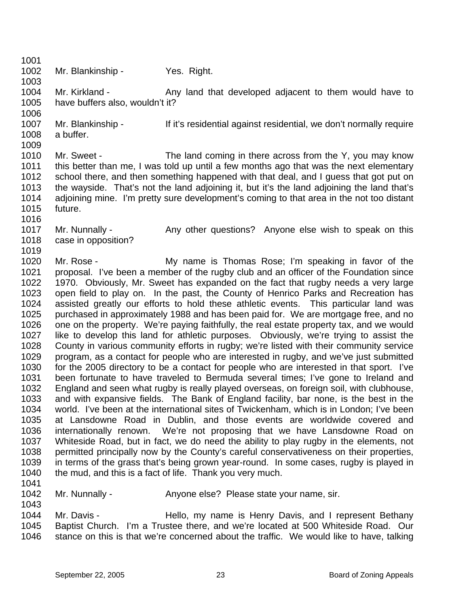1003 1004 1005 1006 1007 1008 1009 1010 1011 1012 1013 1014 1015 1016 1017 1018 1019 1020 1021 Mr. Blankinship - Yes. Right. Mr. Kirkland - Any land that developed adjacent to them would have to have buffers also, wouldn't it? Mr. Blankinship - The It's residential against residential, we don't normally require a buffer. Mr. Sweet - The land coming in there across from the Y, you may know this better than me, I was told up until a few months ago that was the next elementary school there, and then something happened with that deal, and I guess that got put on the wayside. That's not the land adjoining it, but it's the land adjoining the land that's adjoining mine. I'm pretty sure development's coming to that area in the not too distant future. Mr. Nunnally - Any other questions? Anyone else wish to speak on this case in opposition? Mr. Rose - The My name is Thomas Rose; I'm speaking in favor of the proposal. I've been a member of the rugby club and an officer of the Foundation since

1022 1023 1024 1025 1026 1027 1028 1029 1030 1031 1032 1033 1034 1035 1036 1037 1038 1039 1040 1970. Obviously, Mr. Sweet has expanded on the fact that rugby needs a very large open field to play on. In the past, the County of Henrico Parks and Recreation has assisted greatly our efforts to hold these athletic events. This particular land was purchased in approximately 1988 and has been paid for. We are mortgage free, and no one on the property. We're paying faithfully, the real estate property tax, and we would like to develop this land for athletic purposes. Obviously, we're trying to assist the County in various community efforts in rugby; we're listed with their community service program, as a contact for people who are interested in rugby, and we've just submitted for the 2005 directory to be a contact for people who are interested in that sport. I've been fortunate to have traveled to Bermuda several times; I've gone to Ireland and England and seen what rugby is really played overseas, on foreign soil, with clubhouse, and with expansive fields. The Bank of England facility, bar none, is the best in the world. I've been at the international sites of Twickenham, which is in London; I've been at Lansdowne Road in Dublin, and those events are worldwide covered and internationally renown. We're not proposing that we have Lansdowne Road on Whiteside Road, but in fact, we do need the ability to play rugby in the elements, not permitted principally now by the County's careful conservativeness on their properties, in terms of the grass that's being grown year-round. In some cases, rugby is played in the mud, and this is a fact of life. Thank you very much.

1041 1042

1043

1001 1002

Mr. Nunnally - Anyone else? Please state your name, sir.

1044 1045 1046 Mr. Davis - Thello, my name is Henry Davis, and I represent Bethany Baptist Church. I'm a Trustee there, and we're located at 500 Whiteside Road. Our stance on this is that we're concerned about the traffic. We would like to have, talking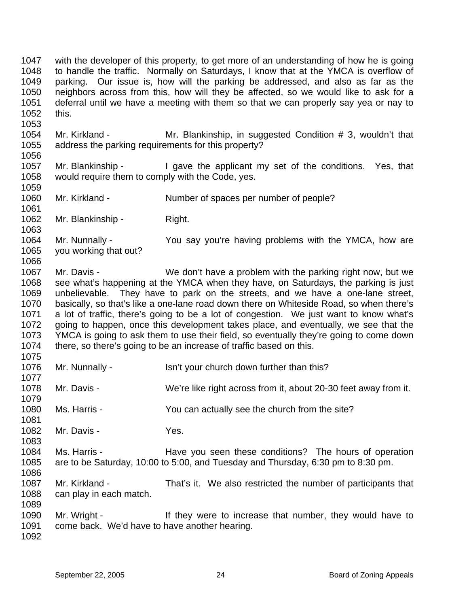1047 1048 1049 1050 1051 1052 1053 1054 with the developer of this property, to get more of an understanding of how he is going to handle the traffic. Normally on Saturdays, I know that at the YMCA is overflow of parking. Our issue is, how will the parking be addressed, and also as far as the neighbors across from this, how will they be affected, so we would like to ask for a deferral until we have a meeting with them so that we can properly say yea or nay to this. Mr. Kirkland - Mr. Blankinship, in suggested Condition # 3, wouldn't that

1055 1056 address the parking requirements for this property?

1057 1058 1059 Mr. Blankinship - I gave the applicant my set of the conditions. Yes, that would require them to comply with the Code, yes.

1060 Mr. Kirkland - Number of spaces per number of people?

1062 Mr. Blankinship - Right.

1064 1065 1066 Mr. Nunnally - You say you're having problems with the YMCA, how are you working that out?

1067 1068 1069 1070 1071 1072 1073 1074 Mr. Davis - We don't have a problem with the parking right now, but we see what's happening at the YMCA when they have, on Saturdays, the parking is just unbelievable. They have to park on the streets, and we have a one-lane street, basically, so that's like a one-lane road down there on Whiteside Road, so when there's a lot of traffic, there's going to be a lot of congestion. We just want to know what's going to happen, once this development takes place, and eventually, we see that the YMCA is going to ask them to use their field, so eventually they're going to come down there, so there's going to be an increase of traffic based on this.

1076 Mr. Nunnally - Isn't your church down further than this?

1078 Mr. Davis - We're like right across from it, about 20-30 feet away from it.

1080 Ms. Harris - The You can actually see the church from the site?

1082 Mr. Davis - Yes.

1084 1085 1086 Ms. Harris - The Have you seen these conditions? The hours of operation are to be Saturday, 10:00 to 5:00, and Tuesday and Thursday, 6:30 pm to 8:30 pm.

1087 1088 Mr. Kirkland - That's it. We also restricted the number of participants that can play in each match.

1090 1091 Mr. Wright - If they were to increase that number, they would have to come back. We'd have to have another hearing.

1092

1089

1061

1063

1075

1077

1079

1081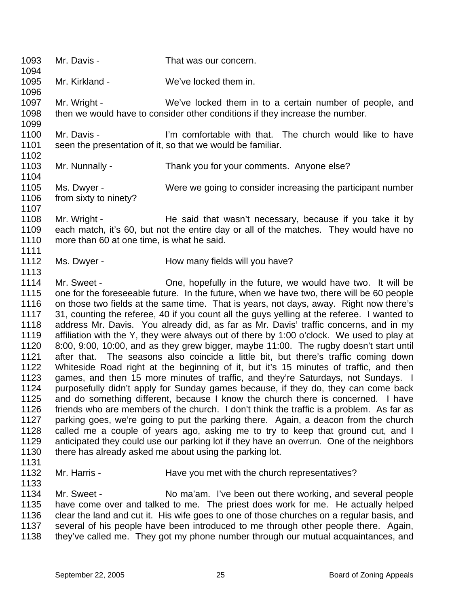- 1093 Mr. Davis - That was our concern.
- 1095 Mr. Kirkland - We've locked them in.
- 1097 1098 1099 Mr. Wright - We've locked them in to a certain number of people, and then we would have to consider other conditions if they increase the number.
- 1100 1101 1102 Mr. Davis - I'm comfortable with that. The church would like to have seen the presentation of it, so that we would be familiar.
- 1103 Mr. Nunnally - Thank you for your comments. Anyone else?
- 1105 1106 1107 Ms. Dwyer - Were we going to consider increasing the participant number from sixty to ninety?
- 1108 1109 1110 1111 Mr. Wright - He said that wasn't necessary, because if you take it by each match, it's 60, but not the entire day or all of the matches. They would have no more than 60 at one time, is what he said.
- 1112 Ms. Dwyer - **How many fields will you have?**
- 1114 1115 1116 1117 1118 1119 1120 1121 1122 1123 1124 1125 1126 1127 1128 1129 1130 Mr. Sweet - Che, hopefully in the future, we would have two. It will be one for the foreseeable future. In the future, when we have two, there will be 60 people on those two fields at the same time. That is years, not days, away. Right now there's 31, counting the referee, 40 if you count all the guys yelling at the referee. I wanted to address Mr. Davis. You already did, as far as Mr. Davis' traffic concerns, and in my affiliation with the Y, they were always out of there by 1:00 o'clock. We used to play at 8:00, 9:00, 10:00, and as they grew bigger, maybe 11:00. The rugby doesn't start until after that. The seasons also coincide a little bit, but there's traffic coming down Whiteside Road right at the beginning of it, but it's 15 minutes of traffic, and then games, and then 15 more minutes of traffic, and they're Saturdays, not Sundays. I purposefully didn't apply for Sunday games because, if they do, they can come back and do something different, because I know the church there is concerned. I have friends who are members of the church. I don't think the traffic is a problem. As far as parking goes, we're going to put the parking there. Again, a deacon from the church called me a couple of years ago, asking me to try to keep that ground cut, and I anticipated they could use our parking lot if they have an overrun. One of the neighbors there has already asked me about using the parking lot.
- 1131

1094

1096

1104

- 1132 Mr. Harris - The Have you met with the church representatives?
- 1133

- 1134 1135 1136 1137 Mr. Sweet - No ma'am. I've been out there working, and several people have come over and talked to me. The priest does work for me. He actually helped clear the land and cut it. His wife goes to one of those churches on a regular basis, and several of his people have been introduced to me through other people there. Again,
- 1138 they've called me. They got my phone number through our mutual acquaintances, and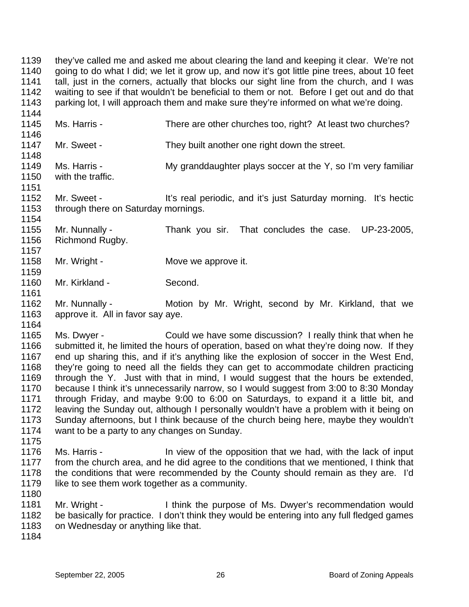1139 1140 1141 1142 1143 they've called me and asked me about clearing the land and keeping it clear. We're not going to do what I did; we let it grow up, and now it's got little pine trees, about 10 feet tall, just in the corners, actually that blocks our sight line from the church, and I was waiting to see if that wouldn't be beneficial to them or not. Before I get out and do that parking lot, I will approach them and make sure they're informed on what we're doing.

- 1145 1146 Ms. Harris - There are other churches too, right? At least two churches?
- 1147 1148 Mr. Sweet - They built another one right down the street.
- 1149 1150 Ms. Harris - My granddaughter plays soccer at the Y, so I'm very familiar with the traffic.
- 1152 1153 1154 Mr. Sweet - It's real periodic, and it's just Saturday morning. It's hectic through there on Saturday mornings.
- 1155 1156 Mr. Nunnally - Thank you sir. That concludes the case. UP-23-2005, Richmond Rugby.
- 1158 Mr. Wright - **Move we approve it.**
- 1160 Mr. Kirkland - Second.
- 1162 1163 Mr. Nunnally - **Motion by Mr. Wright, second by Mr. Kirkland, that we** approve it. All in favor say aye.
- 1165 1166 1167 1168 1169 1170 1171 1172 1173 1174 Ms. Dwyer - Could we have some discussion? I really think that when he submitted it, he limited the hours of operation, based on what they're doing now. If they end up sharing this, and if it's anything like the explosion of soccer in the West End, they're going to need all the fields they can get to accommodate children practicing through the Y. Just with that in mind, I would suggest that the hours be extended, because I think it's unnecessarily narrow, so I would suggest from 3:00 to 8:30 Monday through Friday, and maybe 9:00 to 6:00 on Saturdays, to expand it a little bit, and leaving the Sunday out, although I personally wouldn't have a problem with it being on Sunday afternoons, but I think because of the church being here, maybe they wouldn't want to be a party to any changes on Sunday.
- 1176 1177 1178 1179 1180 Ms. Harris - In view of the opposition that we had, with the lack of input from the church area, and he did agree to the conditions that we mentioned, I think that the conditions that were recommended by the County should remain as they are. I'd like to see them work together as a community.
- 1181 1182 1183 Mr. Wright - I think the purpose of Ms. Dwyer's recommendation would be basically for practice. I don't think they would be entering into any full fledged games on Wednesday or anything like that.
- 1184

1175

1144

1151

1157

1159

1161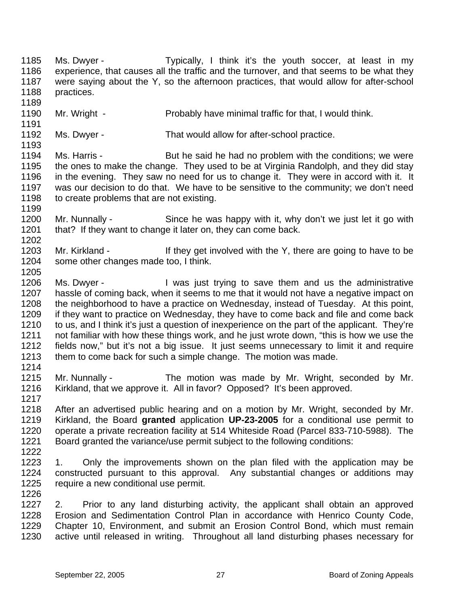1185 1186 1187 1188 1189 1190 1191 1192 1193 1194 1195 1196 1197 1198 1199 1200 1201 1202 1203 1204 1205 1206 1207 1208 1209 1210 1211 1212 1213 1214 1215 1216 1217 1218 1219 1220 1221 1222 1223 1224 1225 1226 1227 1228 1229 1230 Ms. Dwyer - Typically, I think it's the youth soccer, at least in my experience, that causes all the traffic and the turnover, and that seems to be what they were saying about the Y, so the afternoon practices, that would allow for after-school practices. Mr. Wright - Probably have minimal traffic for that, I would think. Ms. Dwyer - That would allow for after-school practice. Ms. Harris - But he said he had no problem with the conditions; we were the ones to make the change. They used to be at Virginia Randolph, and they did stay in the evening. They saw no need for us to change it. They were in accord with it. It was our decision to do that. We have to be sensitive to the community; we don't need to create problems that are not existing. Mr. Nunnally - Since he was happy with it, why don't we just let it go with that? If they want to change it later on, they can come back. Mr. Kirkland - If they get involved with the Y, there are going to have to be some other changes made too, I think. Ms. Dwyer - I was just trying to save them and us the administrative hassle of coming back, when it seems to me that it would not have a negative impact on the neighborhood to have a practice on Wednesday, instead of Tuesday. At this point, if they want to practice on Wednesday, they have to come back and file and come back to us, and I think it's just a question of inexperience on the part of the applicant. They're not familiar with how these things work, and he just wrote down, "this is how we use the fields now," but it's not a big issue. It just seems unnecessary to limit it and require them to come back for such a simple change. The motion was made. Mr. Nunnally - The motion was made by Mr. Wright, seconded by Mr. Kirkland, that we approve it. All in favor? Opposed? It's been approved. After an advertised public hearing and on a motion by Mr. Wright, seconded by Mr. Kirkland, the Board **granted** application **UP-23-2005** for a conditional use permit to operate a private recreation facility at 514 Whiteside Road (Parcel 833-710-5988). The Board granted the variance/use permit subject to the following conditions: 1. Only the improvements shown on the plan filed with the application may be constructed pursuant to this approval. Any substantial changes or additions may require a new conditional use permit. 2. Prior to any land disturbing activity, the applicant shall obtain an approved Erosion and Sedimentation Control Plan in accordance with Henrico County Code, Chapter 10, Environment, and submit an Erosion Control Bond, which must remain active until released in writing. Throughout all land disturbing phases necessary for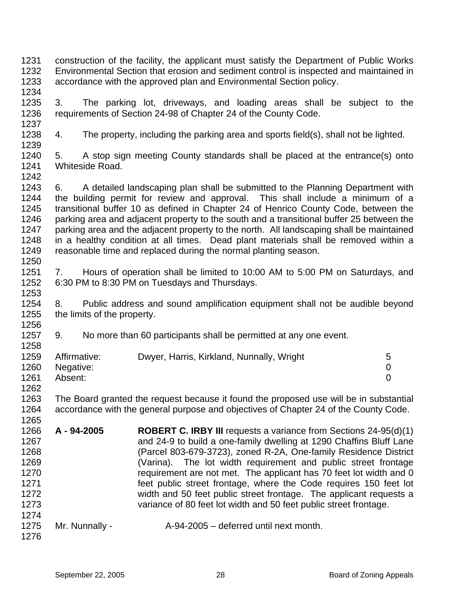- 1231 1232 1233 construction of the facility, the applicant must satisfy the Department of Public Works Environmental Section that erosion and sediment control is inspected and maintained in accordance with the approved plan and Environmental Section policy.
- 1235 1236 1237 3. The parking lot, driveways, and loading areas shall be subject to the requirements of Section 24-98 of Chapter 24 of the County Code.
- 1238 1239 4. The property, including the parking area and sports field(s), shall not be lighted.
- 1240 1241 1242 5. A stop sign meeting County standards shall be placed at the entrance(s) onto Whiteside Road.
- 1243 1244 1245 1246 1247 1248 1249 1250 6. A detailed landscaping plan shall be submitted to the Planning Department with the building permit for review and approval. This shall include a minimum of a transitional buffer 10 as defined in Chapter 24 of Henrico County Code, between the parking area and adjacent property to the south and a transitional buffer 25 between the parking area and the adjacent property to the north. All landscaping shall be maintained in a healthy condition at all times. Dead plant materials shall be removed within a reasonable time and replaced during the normal planting season.
- 1251 1252 7. Hours of operation shall be limited to 10:00 AM to 5:00 PM on Saturdays, and 6:30 PM to 8:30 PM on Tuesdays and Thursdays.
- 1254 1255 8. Public address and sound amplification equipment shall not be audible beyond the limits of the property.
- 1257 9. No more than 60 participants shall be permitted at any one event.

| 1259 | Affirmative: | Dwyer, Harris, Kirkland, Nunnally, Wright | 5 |
|------|--------------|-------------------------------------------|---|
| 1260 | Negative:    |                                           |   |
| 1261 | Absent:      |                                           |   |
| 1262 |              |                                           |   |

- 1263 1264 1265 The Board granted the request because it found the proposed use will be in substantial accordance with the general purpose and objectives of Chapter 24 of the County Code.
- 1266 1267 1268 1269 1270 1271 1272 1273 1274 **A - 94-2005 ROBERT C. IRBY III** requests a variance from Sections 24-95(d)(1) and 24-9 to build a one-family dwelling at 1290 Chaffins Bluff Lane (Parcel 803-679-3723), zoned R-2A, One-family Residence District (Varina). The lot width requirement and public street frontage requirement are not met. The applicant has 70 feet lot width and 0 feet public street frontage, where the Code requires 150 feet lot width and 50 feet public street frontage. The applicant requests a variance of 80 feet lot width and 50 feet public street frontage.
- 1275 1276 Mr. Nunnally - A-94-2005 – deferred until next month.
	-

1234

1253

1256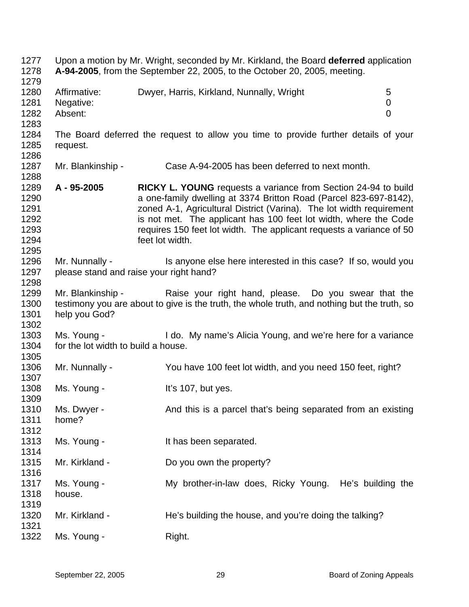1277 Upon a motion by Mr. Wright, seconded by Mr. Kirkland, the Board **deferred** application 1278 1279 1280 1281 1282 1283 1284 1285 1286 1287 1288 1289 1290 1291 1292 1293 1294 1295 1296 1297 1298 1299 1300 1301 1302 1303 1304 1305 1306 1307 1308 1309 1310 1311 1312 1313 1314 1315 1316 1317 1318 1319 1320 1321 1322 **A-94-2005**, from the September 22, 2005, to the October 20, 2005, meeting. Affirmative: Dwyer, Harris, Kirkland, Nunnally, Wright 5 Negative: 0 Absent: 0 The Board deferred the request to allow you time to provide further details of your request. Mr. Blankinship - Case A-94-2005 has been deferred to next month. **A - 95-2005 RICKY L. YOUNG** requests a variance from Section 24-94 to build a one-family dwelling at 3374 Britton Road (Parcel 823-697-8142), zoned A-1, Agricultural District (Varina). The lot width requirement is not met. The applicant has 100 feet lot width, where the Code requires 150 feet lot width. The applicant requests a variance of 50 feet lot width. Mr. Nunnally - Is anyone else here interested in this case? If so, would you please stand and raise your right hand? Mr. Blankinship - The Raise your right hand, please. Do you swear that the testimony you are about to give is the truth, the whole truth, and nothing but the truth, so help you God? Ms. Young - I do. My name's Alicia Young, and we're here for a variance for the lot width to build a house. Mr. Nunnally - You have 100 feet lot width, and you need 150 feet, right? Ms. Young - The Management of the It's 107, but yes. Ms. Dwyer - And this is a parcel that's being separated from an existing home? Ms. Young - The Music Heather It has been separated. Mr. Kirkland - Do you own the property? Ms. Young - My brother-in-law does, Ricky Young. He's building the house. Mr. Kirkland - He's building the house, and you're doing the talking? Ms. Young - Right.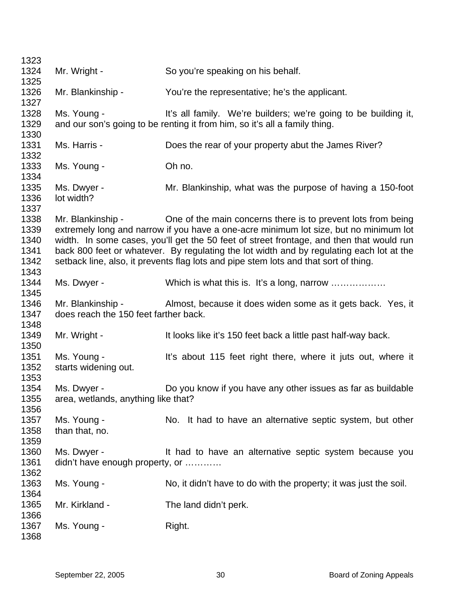| 1323                                         |                                                            |                                                                                                                                                                                                                                                                                                                                                                                                                                       |
|----------------------------------------------|------------------------------------------------------------|---------------------------------------------------------------------------------------------------------------------------------------------------------------------------------------------------------------------------------------------------------------------------------------------------------------------------------------------------------------------------------------------------------------------------------------|
| 1324                                         | Mr. Wright -                                               | So you're speaking on his behalf.                                                                                                                                                                                                                                                                                                                                                                                                     |
| 1325                                         |                                                            |                                                                                                                                                                                                                                                                                                                                                                                                                                       |
| 1326<br>1327                                 | Mr. Blankinship -                                          | You're the representative; he's the applicant.                                                                                                                                                                                                                                                                                                                                                                                        |
| 1328<br>1329<br>1330                         | Ms. Young -                                                | It's all family. We're builders; we're going to be building it,<br>and our son's going to be renting it from him, so it's all a family thing.                                                                                                                                                                                                                                                                                         |
| 1331<br>1332                                 | Ms. Harris -                                               | Does the rear of your property abut the James River?                                                                                                                                                                                                                                                                                                                                                                                  |
| 1333<br>1334                                 | Ms. Young -                                                | Oh no.                                                                                                                                                                                                                                                                                                                                                                                                                                |
| 1335<br>1336<br>1337                         | Ms. Dwyer -<br>lot width?                                  | Mr. Blankinship, what was the purpose of having a 150-foot                                                                                                                                                                                                                                                                                                                                                                            |
| 1338<br>1339<br>1340<br>1341<br>1342<br>1343 | Mr. Blankinship -                                          | One of the main concerns there is to prevent lots from being<br>extremely long and narrow if you have a one-acre minimum lot size, but no minimum lot<br>width. In some cases, you'll get the 50 feet of street frontage, and then that would run<br>back 800 feet or whatever. By regulating the lot width and by regulating each lot at the<br>setback line, also, it prevents flag lots and pipe stem lots and that sort of thing. |
| 1344<br>1345                                 | Ms. Dwyer -                                                | Which is what this is. It's a long, narrow                                                                                                                                                                                                                                                                                                                                                                                            |
| 1346<br>1347<br>1348                         | Mr. Blankinship -<br>does reach the 150 feet farther back. | Almost, because it does widen some as it gets back. Yes, it                                                                                                                                                                                                                                                                                                                                                                           |
| 1349<br>1350                                 | Mr. Wright -                                               | It looks like it's 150 feet back a little past half-way back.                                                                                                                                                                                                                                                                                                                                                                         |
| 1351<br>1352<br>1353                         | Ms. Young -<br>starts widening out.                        | It's about 115 feet right there, where it juts out, where it                                                                                                                                                                                                                                                                                                                                                                          |
| 1354                                         | Ms. Dwyer -                                                | Do you know if you have any other issues as far as buildable                                                                                                                                                                                                                                                                                                                                                                          |
| 1355<br>1356                                 | area, wetlands, anything like that?                        |                                                                                                                                                                                                                                                                                                                                                                                                                                       |
| 1357<br>1358<br>1359                         | Ms. Young -<br>than that, no.                              | No. It had to have an alternative septic system, but other                                                                                                                                                                                                                                                                                                                                                                            |
| 1360                                         | Ms. Dwyer -                                                | It had to have an alternative septic system because you                                                                                                                                                                                                                                                                                                                                                                               |
| 1361<br>1362                                 | didn't have enough property, or                            |                                                                                                                                                                                                                                                                                                                                                                                                                                       |
| 1363<br>1364                                 | Ms. Young -                                                | No, it didn't have to do with the property; it was just the soil.                                                                                                                                                                                                                                                                                                                                                                     |
| 1365<br>1366                                 | Mr. Kirkland -                                             | The land didn't perk.                                                                                                                                                                                                                                                                                                                                                                                                                 |
| 1367<br>1368                                 | Ms. Young -                                                | Right.                                                                                                                                                                                                                                                                                                                                                                                                                                |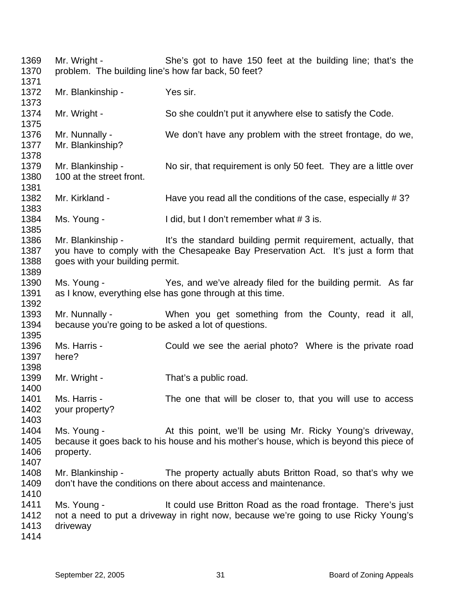1369 1370 1371 1372 1373 1374 1375 1376 1377 1378 1379 1380 1381 1382 1383 1384 1385 1386 1387 1388 1389 1390 1391 1392 1393 1394 1395 1396 1397 1398 1399 1400 1401 1402 1403 1404 1405 1406 1407 1408 1409 1410 1411 1412 1413 1414 Mr. Wright - She's got to have 150 feet at the building line; that's the problem. The building line's how far back, 50 feet? Mr. Blankinship - Yes sir. Mr. Wright - So she couldn't put it anywhere else to satisfy the Code. Mr. Nunnally - We don't have any problem with the street frontage, do we, Mr. Blankinship? Mr. Blankinship - No sir, that requirement is only 50 feet. They are a little over 100 at the street front. Mr. Kirkland - Have you read all the conditions of the case, especially #3? Ms. Young - I did, but I don't remember what # 3 is. Mr. Blankinship - It's the standard building permit requirement, actually, that you have to comply with the Chesapeake Bay Preservation Act. It's just a form that goes with your building permit. Ms. Young - Yes, and we've already filed for the building permit. As far as I know, everything else has gone through at this time. Mr. Nunnally - When you get something from the County, read it all, because you're going to be asked a lot of questions. Ms. Harris - Could we see the aerial photo? Where is the private road here? Mr. Wright - That's a public road. Ms. Harris - The one that will be closer to, that you will use to access your property? Ms. Young - The At this point, we'll be using Mr. Ricky Young's driveway, because it goes back to his house and his mother's house, which is beyond this piece of property. Mr. Blankinship - The property actually abuts Britton Road, so that's why we don't have the conditions on there about access and maintenance. Ms. Young - There's just lt could use Britton Road as the road frontage. There's just not a need to put a driveway in right now, because we're going to use Ricky Young's driveway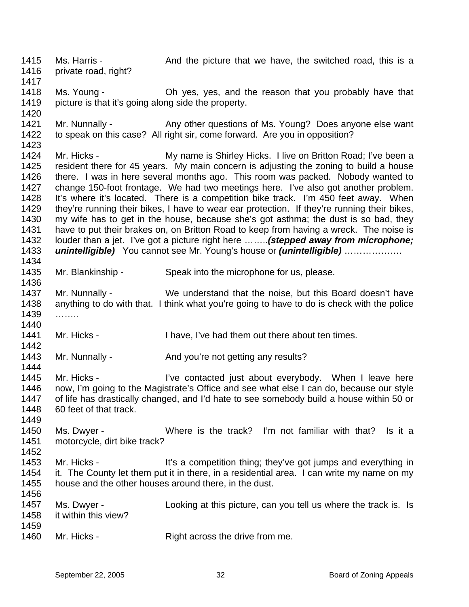1415 1416 1417 1418 1419 1420 1421 1422 1423 1424 1425 1426 1427 1428 1429 1430 1431 1432 1433 1434 1435 1436 1437 1438 1439 1440 1441 1442 1443 1444 1445 1446 1447 1448 1449 1450 1451 1452 1453 1454 1455 1456 1457 1458 1459 1460 Ms. Harris - The And the picture that we have, the switched road, this is a private road, right? Ms. Young - The Model on yes, yes, and the reason that you probably have that picture is that it's going along side the property. Mr. Nunnally - Any other questions of Ms. Young? Does anyone else want to speak on this case? All right sir, come forward. Are you in opposition? Mr. Hicks - My name is Shirley Hicks. I live on Britton Road; I've been a resident there for 45 years. My main concern is adjusting the zoning to build a house there. I was in here several months ago. This room was packed. Nobody wanted to change 150-foot frontage. We had two meetings here. I've also got another problem. It's where it's located. There is a competition bike track. I'm 450 feet away. When they're running their bikes, I have to wear ear protection. If they're running their bikes, my wife has to get in the house, because she's got asthma; the dust is so bad, they have to put their brakes on, on Britton Road to keep from having a wreck. The noise is louder than a jet. I've got a picture right here ……..*(stepped away from microphone; unintelligible)* You cannot see Mr. Young's house or *(unintelligible)* ………………. Mr. Blankinship - Speak into the microphone for us, please. Mr. Nunnally - We understand that the noise, but this Board doesn't have anything to do with that. I think what you're going to have to do is check with the police ……… Mr. Hicks - I have, I've had them out there about ten times. Mr. Nunnally - And you're not getting any results? Mr. Hicks - The The Contacted just about everybody. When I leave here now, I'm going to the Magistrate's Office and see what else I can do, because our style of life has drastically changed, and I'd hate to see somebody build a house within 50 or 60 feet of that track. Ms. Dwyer - Where is the track? I'm not familiar with that? Is it a motorcycle, dirt bike track? Mr. Hicks - This a competition thing; they've got jumps and everything in it. The County let them put it in there, in a residential area. I can write my name on my house and the other houses around there, in the dust. Ms. Dwyer - Looking at this picture, can you tell us where the track is. Is it within this view? Mr. Hicks - Right across the drive from me.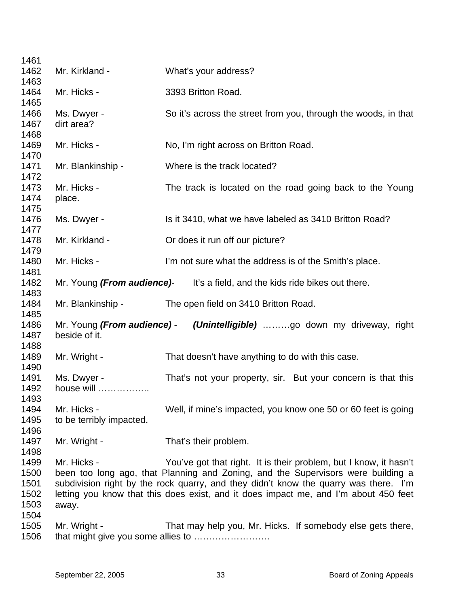| 1461<br>1462                                 | Mr. Kirkland -                          | What's your address?                                                                                                                                                                                                                                                                                                                  |
|----------------------------------------------|-----------------------------------------|---------------------------------------------------------------------------------------------------------------------------------------------------------------------------------------------------------------------------------------------------------------------------------------------------------------------------------------|
| 1463<br>1464                                 | Mr. Hicks -                             | 3393 Britton Road.                                                                                                                                                                                                                                                                                                                    |
| 1465<br>1466<br>1467<br>1468                 | Ms. Dwyer -<br>dirt area?               | So it's across the street from you, through the woods, in that                                                                                                                                                                                                                                                                        |
| 1469<br>1470                                 | Mr. Hicks -                             | No, I'm right across on Britton Road.                                                                                                                                                                                                                                                                                                 |
| 1471<br>1472                                 | Mr. Blankinship -                       | Where is the track located?                                                                                                                                                                                                                                                                                                           |
| 1473<br>1474                                 | Mr. Hicks -<br>place.                   | The track is located on the road going back to the Young                                                                                                                                                                                                                                                                              |
| 1475<br>1476<br>1477                         | Ms. Dwyer -                             | Is it 3410, what we have labeled as 3410 Britton Road?                                                                                                                                                                                                                                                                                |
| 1478<br>1479                                 | Mr. Kirkland -                          | Or does it run off our picture?                                                                                                                                                                                                                                                                                                       |
| 1480<br>1481                                 | Mr. Hicks -                             | I'm not sure what the address is of the Smith's place.                                                                                                                                                                                                                                                                                |
| 1482<br>1483                                 |                                         | Mr. Young (From audience) It's a field, and the kids ride bikes out there.                                                                                                                                                                                                                                                            |
| 1484<br>1485                                 | Mr. Blankinship -                       | The open field on 3410 Britton Road.                                                                                                                                                                                                                                                                                                  |
| 1486<br>1487<br>1488                         | beside of it.                           | Mr. Young (From audience) - (Unintelligible) go down my driveway, right                                                                                                                                                                                                                                                               |
| 1489<br>1490                                 | Mr. Wright -                            | That doesn't have anything to do with this case.                                                                                                                                                                                                                                                                                      |
| 1491<br>1492<br>1493                         | Ms. Dwyer -<br>house will               | That's not your property, sir. But your concern is that this                                                                                                                                                                                                                                                                          |
| 1494<br>1495<br>1496                         | Mr. Hicks -<br>to be terribly impacted. | Well, if mine's impacted, you know one 50 or 60 feet is going                                                                                                                                                                                                                                                                         |
| 1497<br>1498                                 | Mr. Wright -                            | That's their problem.                                                                                                                                                                                                                                                                                                                 |
| 1499<br>1500<br>1501<br>1502<br>1503<br>1504 | Mr. Hicks -<br>away.                    | You've got that right. It is their problem, but I know, it hasn't<br>been too long ago, that Planning and Zoning, and the Supervisors were building a<br>subdivision right by the rock quarry, and they didn't know the quarry was there. I'm<br>letting you know that this does exist, and it does impact me, and I'm about 450 feet |
| 1505<br>1506                                 | Mr. Wright -                            | That may help you, Mr. Hicks. If somebody else gets there,                                                                                                                                                                                                                                                                            |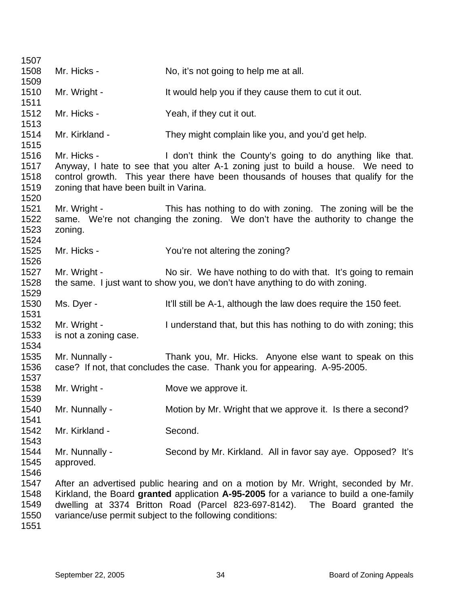| 1507                                 |                                                       |                                                                                                                                                                                                                                                                                                                       |
|--------------------------------------|-------------------------------------------------------|-----------------------------------------------------------------------------------------------------------------------------------------------------------------------------------------------------------------------------------------------------------------------------------------------------------------------|
| 1508<br>1509                         | Mr. Hicks -                                           | No, it's not going to help me at all.                                                                                                                                                                                                                                                                                 |
| 1510<br>1511                         | Mr. Wright -                                          | It would help you if they cause them to cut it out.                                                                                                                                                                                                                                                                   |
| 1512<br>1513                         | Mr. Hicks -                                           | Yeah, if they cut it out.                                                                                                                                                                                                                                                                                             |
| 1514<br>1515                         | Mr. Kirkland -                                        | They might complain like you, and you'd get help.                                                                                                                                                                                                                                                                     |
| 1516<br>1517<br>1518<br>1519<br>1520 | Mr. Hicks -<br>zoning that have been built in Varina. | I don't think the County's going to do anything like that.<br>Anyway, I hate to see that you alter A-1 zoning just to build a house. We need to<br>control growth. This year there have been thousands of houses that qualify for the                                                                                 |
| 1521<br>1522<br>1523<br>1524         | Mr. Wright -<br>zoning.                               | This has nothing to do with zoning. The zoning will be the<br>same. We're not changing the zoning. We don't have the authority to change the                                                                                                                                                                          |
| 1525<br>1526                         | Mr. Hicks -                                           | You're not altering the zoning?                                                                                                                                                                                                                                                                                       |
| 1527<br>1528<br>1529                 | Mr. Wright -                                          | No sir. We have nothing to do with that. It's going to remain<br>the same. I just want to show you, we don't have anything to do with zoning.                                                                                                                                                                         |
| 1530<br>1531                         | Ms. Dyer -                                            | It'll still be A-1, although the law does require the 150 feet.                                                                                                                                                                                                                                                       |
| 1532<br>1533<br>1534                 | Mr. Wright -<br>is not a zoning case.                 | I understand that, but this has nothing to do with zoning; this                                                                                                                                                                                                                                                       |
| 1535<br>1536<br>1537                 | Mr. Nunnally -                                        | Thank you, Mr. Hicks. Anyone else want to speak on this<br>case? If not, that concludes the case. Thank you for appearing. A-95-2005.                                                                                                                                                                                 |
| 1538<br>1539                         | Mr. Wright -                                          | Move we approve it.                                                                                                                                                                                                                                                                                                   |
| 1540<br>1541                         | Mr. Nunnally -                                        | Motion by Mr. Wright that we approve it. Is there a second?                                                                                                                                                                                                                                                           |
| 1542<br>1543                         | Mr. Kirkland -                                        | Second.                                                                                                                                                                                                                                                                                                               |
| 1544<br>1545<br>1546                 | Mr. Nunnally -<br>approved.                           | Second by Mr. Kirkland. All in favor say aye. Opposed? It's                                                                                                                                                                                                                                                           |
| 1547<br>1548<br>1549<br>1550         |                                                       | After an advertised public hearing and on a motion by Mr. Wright, seconded by Mr.<br>Kirkland, the Board granted application A-95-2005 for a variance to build a one-family<br>dwelling at 3374 Britton Road (Parcel 823-697-8142). The Board granted the<br>variance/use permit subject to the following conditions: |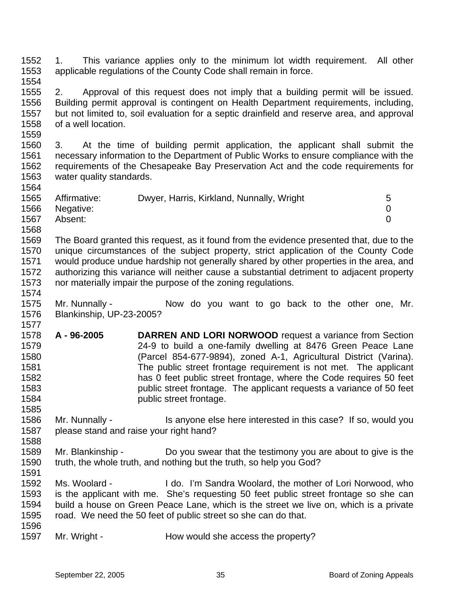1552 1553 1554 1. This variance applies only to the minimum lot width requirement. All other applicable regulations of the County Code shall remain in force.

- 1555 1556 1557 1558 2. Approval of this request does not imply that a building permit will be issued. Building permit approval is contingent on Health Department requirements, including, but not limited to, soil evaluation for a septic drainfield and reserve area, and approval of a well location.
- 1560 1561 1562 1563 3. At the time of building permit application, the applicant shall submit the necessary information to the Department of Public Works to ensure compliance with the requirements of the Chesapeake Bay Preservation Act and the code requirements for water quality standards.

| 1565 | Affirmative:   | Dwyer, Harris, Kirkland, Nunnally, Wright | b. |
|------|----------------|-------------------------------------------|----|
|      | 1566 Negative: |                                           |    |
| 1567 | Absent:        |                                           |    |
| 1568 |                |                                           |    |

1569 1570 1571 1572 1573 The Board granted this request, as it found from the evidence presented that, due to the unique circumstances of the subject property, strict application of the County Code would produce undue hardship not generally shared by other properties in the area, and authorizing this variance will neither cause a substantial detriment to adjacent property nor materially impair the purpose of the zoning regulations.

- 1575 1576 Mr. Nunnally - Now do you want to go back to the other one, Mr. Blankinship, UP-23-2005?
- 1578 1579 1580 1581 1582 1583 1584 **A - 96-2005 DARREN AND LORI NORWOOD** request a variance from Section 24-9 to build a one-family dwelling at 8476 Green Peace Lane (Parcel 854-677-9894), zoned A-1, Agricultural District (Varina). The public street frontage requirement is not met. The applicant has 0 feet public street frontage, where the Code requires 50 feet public street frontage. The applicant requests a variance of 50 feet public street frontage.
- 1586 1587 Mr. Nunnally - Is anyone else here interested in this case? If so, would you please stand and raise your right hand?
- 1589 1590 1591 Mr. Blankinship - Do you swear that the testimony you are about to give is the truth, the whole truth, and nothing but the truth, so help you God?
- 1592 1593 1594 1595 1596 Ms. Woolard - I do. I'm Sandra Woolard, the mother of Lori Norwood, who is the applicant with me. She's requesting 50 feet public street frontage so she can build a house on Green Peace Lane, which is the street we live on, which is a private road. We need the 50 feet of public street so she can do that.
- 1597 Mr. Wright - How would she access the property?

1559

1564

1574

1577

1585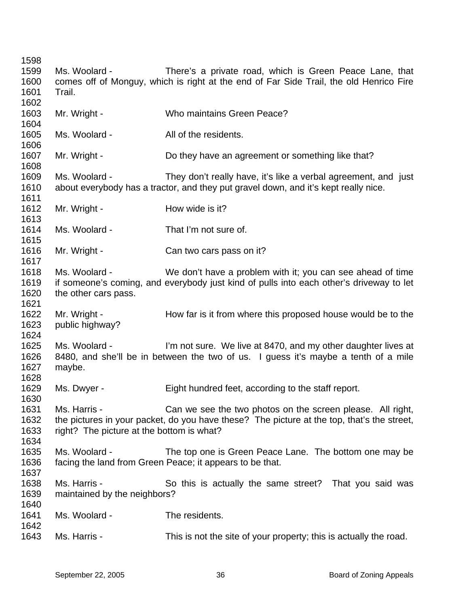Ms. Woolard - There's a private road, which is Green Peace Lane, that comes off of Monguy, which is right at the end of Far Side Trail, the old Henrico Fire Trail. Mr. Wright - Who maintains Green Peace? Ms. Woolard - The All of the residents. Mr. Wright - Do they have an agreement or something like that? Ms. Woolard - They don't really have, it's like a verbal agreement, and just about everybody has a tractor, and they put gravel down, and it's kept really nice. Mr. Wright - **How wide is it?** Ms. Woolard - That I'm not sure of. Mr. Wright - Can two cars pass on it? Ms. Woolard - We don't have a problem with it; you can see ahead of time if someone's coming, and everybody just kind of pulls into each other's driveway to let the other cars pass. Mr. Wright - How far is it from where this proposed house would be to the public highway? Ms. Woolard - I'm not sure. We live at 8470, and my other daughter lives at 8480, and she'll be in between the two of us. I guess it's maybe a tenth of a mile maybe. Ms. Dwyer - Eight hundred feet, according to the staff report. Ms. Harris - Can we see the two photos on the screen please. All right, the pictures in your packet, do you have these? The picture at the top, that's the street, right? The picture at the bottom is what? Ms. Woolard - The top one is Green Peace Lane. The bottom one may be facing the land from Green Peace; it appears to be that. Ms. Harris - So this is actually the same street? That you said was maintained by the neighbors? Ms. Woolard - The residents. Ms. Harris - This is not the site of your property; this is actually the road.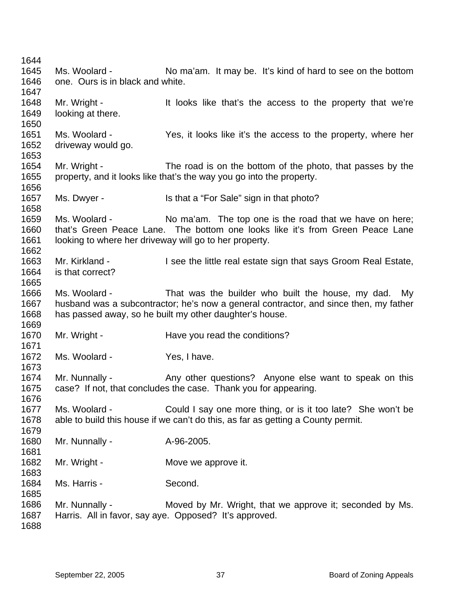Ms. Woolard - No ma'am. It may be. It's kind of hard to see on the bottom one. Ours is in black and white. Mr. Wright - The It looks like that's the access to the property that we're looking at there. Ms. Woolard - The Yes, it looks like it's the access to the property, where her driveway would go. Mr. Wright - The road is on the bottom of the photo, that passes by the property, and it looks like that's the way you go into the property. Ms. Dwyer - Is that a "For Sale" sign in that photo? Ms. Woolard - No ma'am. The top one is the road that we have on here; that's Green Peace Lane. The bottom one looks like it's from Green Peace Lane looking to where her driveway will go to her property. Mr. Kirkland - I see the little real estate sign that says Groom Real Estate, is that correct? Ms. Woolard - That was the builder who built the house, my dad. My husband was a subcontractor; he's now a general contractor, and since then, my father has passed away, so he built my other daughter's house. Mr. Wright - Have you read the conditions? Ms. Woolard - Yes, I have. Mr. Nunnally - Any other questions? Anyone else want to speak on this case? If not, that concludes the case. Thank you for appearing. Ms. Woolard - Could I say one more thing, or is it too late? She won't be able to build this house if we can't do this, as far as getting a County permit. Mr. Nunnally - A-96-2005. Mr. Wright - **Move we approve it.** Ms. Harris - Second. Mr. Nunnally - Moved by Mr. Wright, that we approve it; seconded by Ms. Harris. All in favor, say aye. Opposed? It's approved.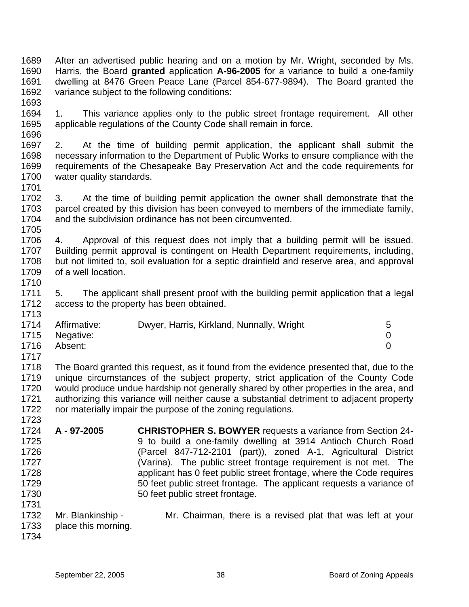1689 1690 1691 1692 1693 After an advertised public hearing and on a motion by Mr. Wright, seconded by Ms. Harris, the Board **granted** application **A-96-2005** for a variance to build a one-family dwelling at 8476 Green Peace Lane (Parcel 854-677-9894). The Board granted the variance subject to the following conditions:

1694 1695 1696 1. This variance applies only to the public street frontage requirement. All other applicable regulations of the County Code shall remain in force.

1697 1698 1699 1700 2. At the time of building permit application, the applicant shall submit the necessary information to the Department of Public Works to ensure compliance with the requirements of the Chesapeake Bay Preservation Act and the code requirements for water quality standards.

1702 1703 1704 1705 3. At the time of building permit application the owner shall demonstrate that the parcel created by this division has been conveyed to members of the immediate family, and the subdivision ordinance has not been circumvented.

1706 1707 1708 1709 1710 4. Approval of this request does not imply that a building permit will be issued. Building permit approval is contingent on Health Department requirements, including, but not limited to, soil evaluation for a septic drainfield and reserve area, and approval of a well location.

1711 1712 1713 5. The applicant shall present proof with the building permit application that a legal access to the property has been obtained.

|      | 1714 Affirmative: | Dwyer, Harris, Kirkland, Nunnally, Wright | 5 |
|------|-------------------|-------------------------------------------|---|
|      | 1715 Negative:    |                                           |   |
| 1716 | Absent:           |                                           |   |
| 1717 |                   |                                           |   |

1718 1719 1720 1721 1722 The Board granted this request, as it found from the evidence presented that, due to the unique circumstances of the subject property, strict application of the County Code would produce undue hardship not generally shared by other properties in the area, and authorizing this variance will neither cause a substantial detriment to adjacent property nor materially impair the purpose of the zoning regulations.

- 1724 1725 1726 1727 1728 1729 1730 1731 **A - 97-2005 CHRISTOPHER S. BOWYER** requests a variance from Section 24- 9 to build a one-family dwelling at 3914 Antioch Church Road (Parcel 847-712-2101 (part)), zoned A-1, Agricultural District (Varina). The public street frontage requirement is not met. The applicant has 0 feet public street frontage, where the Code requires 50 feet public street frontage. The applicant requests a variance of 50 feet public street frontage.
- 1732 1733 Mr. Blankinship - Mr. Chairman, there is a revised plat that was left at your place this morning.
- 1734

1723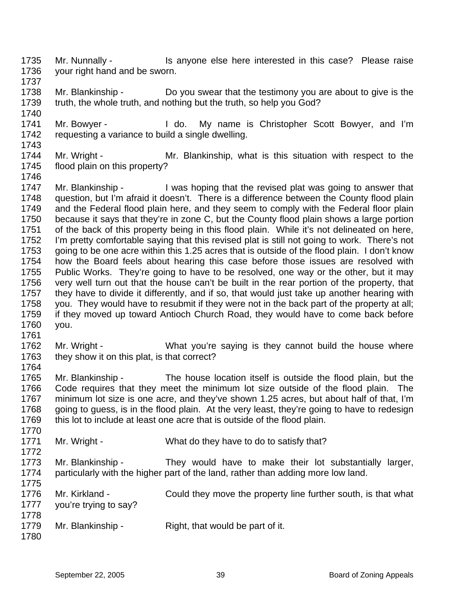- 1735 1736 1737 Mr. Nunnally - Is anyone else here interested in this case? Please raise your right hand and be sworn.
- 1738 1739 Mr. Blankinship - Do you swear that the testimony you are about to give is the truth, the whole truth, and nothing but the truth, so help you God?
- 1741 1742 Mr. Bowyer - The My name is Christopher Scott Bowyer, and I'm requesting a variance to build a single dwelling.
- 1744 1745 Mr. Wright - The Mr. Blankinship, what is this situation with respect to the flood plain on this property?
- 1746

1761

1740

- 1747 1748 1749 1750 1751 1752 1753 1754 1755 1756 1757 1758 1759 1760 Mr. Blankinship - I was hoping that the revised plat was going to answer that question, but I'm afraid it doesn't. There is a difference between the County flood plain and the Federal flood plain here, and they seem to comply with the Federal floor plain because it says that they're in zone C, but the County flood plain shows a large portion of the back of this property being in this flood plain. While it's not delineated on here, I'm pretty comfortable saying that this revised plat is still not going to work. There's not going to be one acre within this 1.25 acres that is outside of the flood plain. I don't know how the Board feels about hearing this case before those issues are resolved with Public Works. They're going to have to be resolved, one way or the other, but it may very well turn out that the house can't be built in the rear portion of the property, that they have to divide it differently, and if so, that would just take up another hearing with you. They would have to resubmit if they were not in the back part of the property at all; if they moved up toward Antioch Church Road, they would have to come back before you.
- 1762 1763 1764 Mr. Wright - What you're saying is they cannot build the house where they show it on this plat, is that correct?
- 1765 1766 1767 1768 1769 Mr. Blankinship - The house location itself is outside the flood plain, but the Code requires that they meet the minimum lot size outside of the flood plain. The minimum lot size is one acre, and they've shown 1.25 acres, but about half of that, I'm going to guess, is in the flood plain. At the very least, they're going to have to redesign this lot to include at least one acre that is outside of the flood plain.
- 1770 1771 1772 Mr. Wright - What do they have to do to satisfy that?
- 1773 1774 Mr. Blankinship - They would have to make their lot substantially larger, particularly with the higher part of the land, rather than adding more low land.
- 1775 1776 1777 1778 1779 Mr. Kirkland - Could they move the property line further south, is that what you're trying to say? Mr. Blankinship - Right, that would be part of it.
- 1780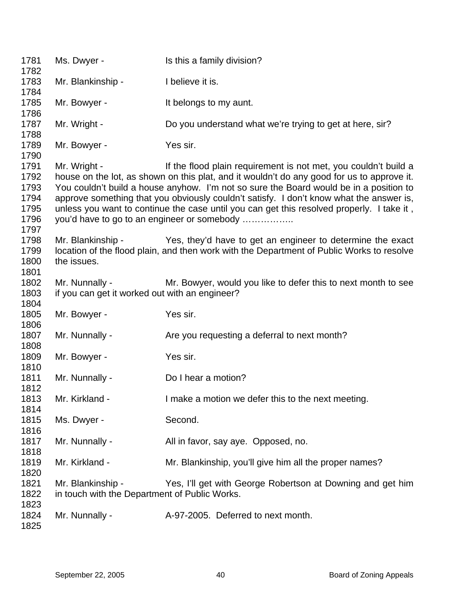| 1781<br>1782                                         | Ms. Dwyer -                                                        | Is this a family division?                                                                                                                                                                                                                                                                                                                                                                                                                                                                     |
|------------------------------------------------------|--------------------------------------------------------------------|------------------------------------------------------------------------------------------------------------------------------------------------------------------------------------------------------------------------------------------------------------------------------------------------------------------------------------------------------------------------------------------------------------------------------------------------------------------------------------------------|
| 1783<br>1784                                         | Mr. Blankinship -                                                  | I believe it is.                                                                                                                                                                                                                                                                                                                                                                                                                                                                               |
| 1785<br>1786                                         | Mr. Bowyer -                                                       | It belongs to my aunt.                                                                                                                                                                                                                                                                                                                                                                                                                                                                         |
| 1787<br>1788                                         | Mr. Wright -                                                       | Do you understand what we're trying to get at here, sir?                                                                                                                                                                                                                                                                                                                                                                                                                                       |
| 1789<br>1790                                         | Mr. Bowyer -                                                       | Yes sir.                                                                                                                                                                                                                                                                                                                                                                                                                                                                                       |
| 1791<br>1792<br>1793<br>1794<br>1795<br>1796<br>1797 | Mr. Wright -                                                       | If the flood plain requirement is not met, you couldn't build a<br>house on the lot, as shown on this plat, and it wouldn't do any good for us to approve it.<br>You couldn't build a house anyhow. I'm not so sure the Board would be in a position to<br>approve something that you obviously couldn't satisfy. I don't know what the answer is,<br>unless you want to continue the case until you can get this resolved properly. I take it,<br>you'd have to go to an engineer or somebody |
| 1798<br>1799<br>1800                                 | Mr. Blankinship -<br>the issues.                                   | Yes, they'd have to get an engineer to determine the exact<br>location of the flood plain, and then work with the Department of Public Works to resolve                                                                                                                                                                                                                                                                                                                                        |
| 1801<br>1802<br>1803<br>1804                         | Mr. Nunnally -<br>if you can get it worked out with an engineer?   | Mr. Bowyer, would you like to defer this to next month to see                                                                                                                                                                                                                                                                                                                                                                                                                                  |
| 1805<br>1806                                         | Mr. Bowyer -                                                       | Yes sir.                                                                                                                                                                                                                                                                                                                                                                                                                                                                                       |
| 1807<br>1808                                         | Mr. Nunnally -                                                     | Are you requesting a deferral to next month?                                                                                                                                                                                                                                                                                                                                                                                                                                                   |
| 1809<br>1810                                         | Mr. Bowyer -                                                       | Yes sir.                                                                                                                                                                                                                                                                                                                                                                                                                                                                                       |
| 1811<br>1812                                         | Mr. Nunnally -                                                     | Do I hear a motion?                                                                                                                                                                                                                                                                                                                                                                                                                                                                            |
| 1813<br>1814                                         | Mr. Kirkland -                                                     | I make a motion we defer this to the next meeting.                                                                                                                                                                                                                                                                                                                                                                                                                                             |
| 1815<br>1816                                         | Ms. Dwyer -                                                        | Second.                                                                                                                                                                                                                                                                                                                                                                                                                                                                                        |
| 1817<br>1818                                         | Mr. Nunnally -                                                     | All in favor, say aye. Opposed, no.                                                                                                                                                                                                                                                                                                                                                                                                                                                            |
| 1819                                                 | Mr. Kirkland -                                                     | Mr. Blankinship, you'll give him all the proper names?                                                                                                                                                                                                                                                                                                                                                                                                                                         |
| 1820<br>1821<br>1822                                 | Mr. Blankinship -<br>in touch with the Department of Public Works. | Yes, I'll get with George Robertson at Downing and get him                                                                                                                                                                                                                                                                                                                                                                                                                                     |
| 1823<br>1824<br>1825                                 | Mr. Nunnally -                                                     | A-97-2005. Deferred to next month.                                                                                                                                                                                                                                                                                                                                                                                                                                                             |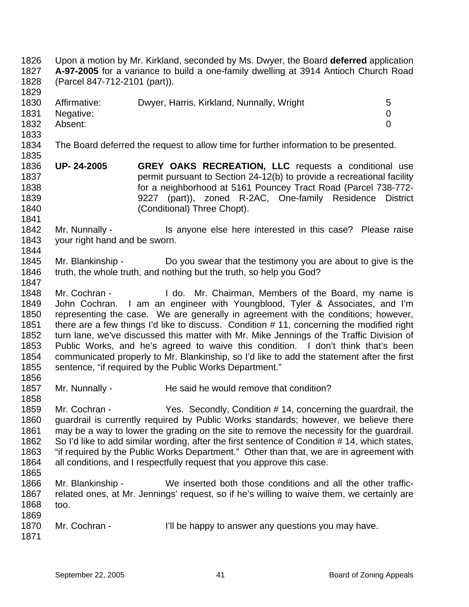Upon a motion by Mr. Kirkland, seconded by Ms. Dwyer, the Board **deferred** application **A-97-2005** for a variance to build a one-family dwelling at 3914 Antioch Church Road (Parcel 847-712-2101 (part)). 1826 1827 1828 1829 1830 1831 1832 1833 1834 1835 1836 1837 1838 1839 1840 1841 1842 1843 1844 1845 1846 1847 1848 1849 1850 1851 1852 1853 1854 1855 1856 1857 1858 1859 1860 1861 1862 1863 1864 1865 1866 1867 1868 1869 1870 1871 Affirmative: Dwyer, Harris, Kirkland, Nunnally, Wright 5 Negative: 0 Absent: 0 The Board deferred the request to allow time for further information to be presented. **UP- 24-2005 GREY OAKS RECREATION, LLC** requests a conditional use permit pursuant to Section 24-12(b) to provide a recreational facility for a neighborhood at 5161 Pouncey Tract Road (Parcel 738-772- 9227 (part)), zoned R-2AC, One-family Residence District (Conditional) Three Chopt). Mr. Nunnally - Is anyone else here interested in this case? Please raise your right hand and be sworn. Mr. Blankinship - Do you swear that the testimony you are about to give is the truth, the whole truth, and nothing but the truth, so help you God? Mr. Cochran - I do. Mr. Chairman, Members of the Board, my name is John Cochran. I am an engineer with Youngblood, Tyler & Associates, and I'm representing the case. We are generally in agreement with the conditions; however, there are a few things I'd like to discuss. Condition # 11, concerning the modified right turn lane, we've discussed this matter with Mr. Mike Jennings of the Traffic Division of Public Works, and he's agreed to waive this condition. I don't think that's been communicated properly to Mr. Blankinship, so I'd like to add the statement after the first sentence, "if required by the Public Works Department." Mr. Nunnally - He said he would remove that condition? Mr. Cochran - Yes. Secondly, Condition # 14, concerning the quardrail, the guardrail is currently required by Public Works standards; however, we believe there may be a way to lower the grading on the site to remove the necessity for the guardrail. So I'd like to add similar wording, after the first sentence of Condition # 14, which states, "if required by the Public Works Department." Other than that, we are in agreement with all conditions, and I respectfully request that you approve this case. Mr. Blankinship - We inserted both those conditions and all the other trafficrelated ones, at Mr. Jennings' request, so if he's willing to waive them, we certainly are too. Mr. Cochran - I'll be happy to answer any questions you may have.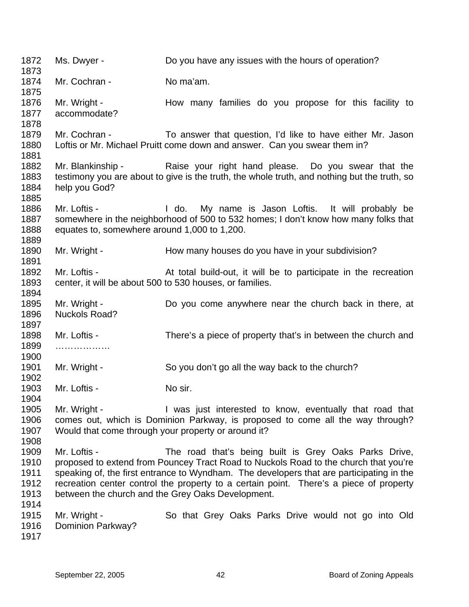1872 1873 1874 1875 1876 1877 1878 1879 1880 1881 1882 1883 1884 1885 1886 1887 1888 1889 1890 1891 1892 1893 1894 1895 1896 1897 1898 1899 1900 1901 1902 1903 1904 1905 1906 1907 1908 1909 1910 1911 1912 1913 1914 1915 1916 Ms. Dwyer - Do you have any issues with the hours of operation? Mr. Cochran - No ma'am. Mr. Wright - The How many families do you propose for this facility to accommodate? Mr. Cochran - To answer that question, I'd like to have either Mr. Jason Loftis or Mr. Michael Pruitt come down and answer. Can you swear them in? Mr. Blankinship - Raise your right hand please. Do you swear that the testimony you are about to give is the truth, the whole truth, and nothing but the truth, so help you God? Mr. Loftis - The Mullet of My name is Jason Loftis. It will probably be somewhere in the neighborhood of 500 to 532 homes; I don't know how many folks that equates to, somewhere around 1,000 to 1,200. Mr. Wright - **How many houses do you have in your subdivision?** Mr. Loftis - At total build-out, it will be to participate in the recreation center, it will be about 500 to 530 houses, or families. Mr. Wright - **Do** you come anywhere near the church back in there, at Nuckols Road? Mr. Loftis - There's a piece of property that's in between the church and ………………… Mr. Wright - So you don't go all the way back to the church? Mr. Loftis - No sir. Mr. Wright - The Music interested to know, eventually that road that comes out, which is Dominion Parkway, is proposed to come all the way through? Would that come through your property or around it? Mr. Loftis - The road that's being built is Grey Oaks Parks Drive, proposed to extend from Pouncey Tract Road to Nuckols Road to the church that you're speaking of, the first entrance to Wyndham. The developers that are participating in the recreation center control the property to a certain point. There's a piece of property between the church and the Grey Oaks Development. Mr. Wright - So that Grey Oaks Parks Drive would not go into Old Dominion Parkway?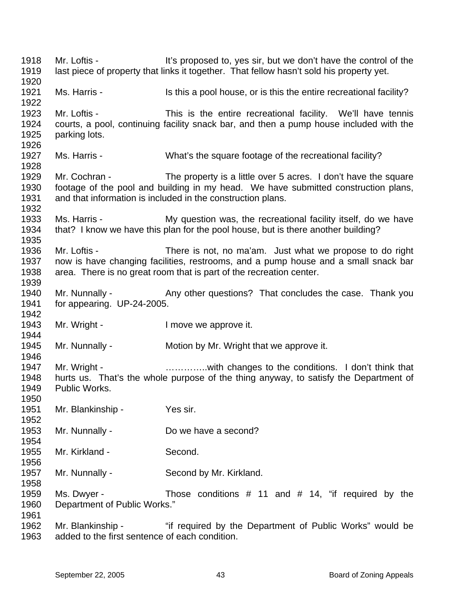1918 1919 1920 1921 1922 1923 1924 1925 1926 1927 1928 1929 1930 1931 1932 1933 1934 1935 1936 1937 1938 1939 1940 1941 1942 1943 1944 1945 1946 1947 1948 1949 1950 1951 1952 1953 1954 1955 1956 1957 1958 1959 1960 1961 1962 1963 Mr. Loftis - It's proposed to, yes sir, but we don't have the control of the last piece of property that links it together. That fellow hasn't sold his property yet. Ms. Harris - Is this a pool house, or is this the entire recreational facility? Mr. Loftis - This is the entire recreational facility. We'll have tennis courts, a pool, continuing facility snack bar, and then a pump house included with the parking lots. Ms. Harris - What's the square footage of the recreational facility? Mr. Cochran - The property is a little over 5 acres. I don't have the square footage of the pool and building in my head. We have submitted construction plans, and that information is included in the construction plans. Ms. Harris - My question was, the recreational facility itself, do we have that? I know we have this plan for the pool house, but is there another building? Mr. Loftis - There is not, no ma'am. Just what we propose to do right now is have changing facilities, restrooms, and a pump house and a small snack bar area. There is no great room that is part of the recreation center. Mr. Nunnally - Any other questions? That concludes the case. Thank you for appearing. UP-24-2005. Mr. Wright - The Music Contract Henry Mr. Wright - The Implication of the Music Contract Internal Music Contract Internal Music Contract Internal Music Contract Internal Music Contract Internal Music Contract Internal Musi Mr. Nunnally - Motion by Mr. Wright that we approve it. Mr. Wright - **Example 20** ..............with changes to the conditions. I don't think that hurts us. That's the whole purpose of the thing anyway, to satisfy the Department of Public Works. Mr. Blankinship - Yes sir. Mr. Nunnally - Do we have a second? Mr. Kirkland - Second. Mr. Nunnally - Second by Mr. Kirkland. Ms. Dwyer - Those conditions  $#$  11 and  $#$  14, "if required by the Department of Public Works." Mr. Blankinship - "if required by the Department of Public Works" would be added to the first sentence of each condition.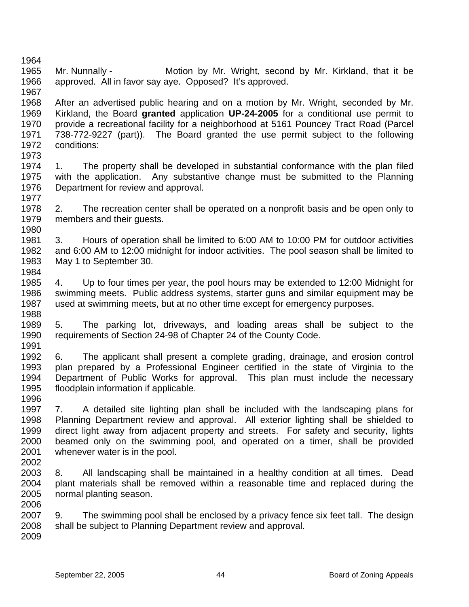1964 1965 1966 1967 1968 1969 1970 1971 1972 1973 1974 1975 1976 1977 1978 1979 1980 1981 1982 1983 1984 1985 1986 1987 1988 1989 1990 1991 1992 1993 1994 1995 1996 1997 1998 1999 2000 2001 2002 2003 2004 2005 2006 2007 2008 2009 Mr. Nunnally - **Motion by Mr. Wright, second by Mr. Kirkland, that it be** approved. All in favor say aye. Opposed? It's approved. After an advertised public hearing and on a motion by Mr. Wright, seconded by Mr. Kirkland, the Board **granted** application **UP-24-2005** for a conditional use permit to provide a recreational facility for a neighborhood at 5161 Pouncey Tract Road (Parcel 738-772-9227 (part)). The Board granted the use permit subject to the following conditions: 1. The property shall be developed in substantial conformance with the plan filed with the application. Any substantive change must be submitted to the Planning Department for review and approval. 2. The recreation center shall be operated on a nonprofit basis and be open only to members and their guests. 3. Hours of operation shall be limited to 6:00 AM to 10:00 PM for outdoor activities and 6:00 AM to 12:00 midnight for indoor activities. The pool season shall be limited to May 1 to September 30. 4. Up to four times per year, the pool hours may be extended to 12:00 Midnight for swimming meets. Public address systems, starter guns and similar equipment may be used at swimming meets, but at no other time except for emergency purposes. 5. The parking lot, driveways, and loading areas shall be subject to the requirements of Section 24-98 of Chapter 24 of the County Code. 6. The applicant shall present a complete grading, drainage, and erosion control plan prepared by a Professional Engineer certified in the state of Virginia to the Department of Public Works for approval. This plan must include the necessary floodplain information if applicable. 7. A detailed site lighting plan shall be included with the landscaping plans for Planning Department review and approval. All exterior lighting shall be shielded to direct light away from adjacent property and streets. For safety and security, lights beamed only on the swimming pool, and operated on a timer, shall be provided whenever water is in the pool. 8. All landscaping shall be maintained in a healthy condition at all times. Dead plant materials shall be removed within a reasonable time and replaced during the normal planting season. 9. The swimming pool shall be enclosed by a privacy fence six feet tall. The design shall be subject to Planning Department review and approval.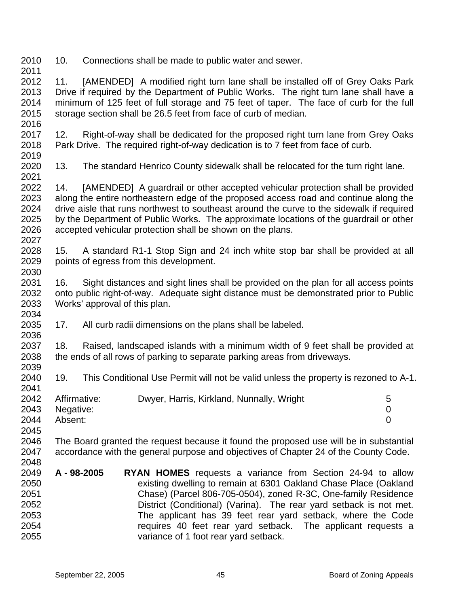2010 10. Connections shall be made to public water and sewer.

2011

2036

2041

2012 2013 2014 2015 2016 11. [AMENDED] A modified right turn lane shall be installed off of Grey Oaks Park Drive if required by the Department of Public Works. The right turn lane shall have a minimum of 125 feet of full storage and 75 feet of taper. The face of curb for the full storage section shall be 26.5 feet from face of curb of median.

2017 2018 2019 12. Right-of-way shall be dedicated for the proposed right turn lane from Grey Oaks Park Drive. The required right-of-way dedication is to 7 feet from face of curb.

2020 2021 13. The standard Henrico County sidewalk shall be relocated for the turn right lane.

2022 2023 2024 2025 2026 2027 14. [AMENDED] A guardrail or other accepted vehicular protection shall be provided along the entire northeastern edge of the proposed access road and continue along the drive aisle that runs northwest to southeast around the curve to the sidewalk if required by the Department of Public Works. The approximate locations of the guardrail or other accepted vehicular protection shall be shown on the plans.

2028 2029 2030 15. A standard R1-1 Stop Sign and 24 inch white stop bar shall be provided at all points of egress from this development.

2031 2032 2033 2034 16. Sight distances and sight lines shall be provided on the plan for all access points onto public right-of-way. Adequate sight distance must be demonstrated prior to Public Works' approval of this plan.

2035 17. All curb radii dimensions on the plans shall be labeled.

2037 2038 2039 18. Raised, landscaped islands with a minimum width of 9 feet shall be provided at the ends of all rows of parking to separate parking areas from driveways.

2040 19. This Conditional Use Permit will not be valid unless the property is rezoned to A-1.

| 2042 | Affirmative:   | Dwyer, Harris, Kirkland, Nunnally, Wright | $\mathbf b$ |
|------|----------------|-------------------------------------------|-------------|
|      | 2043 Negative: |                                           |             |
| 2044 | Absent:        |                                           |             |
| 2045 |                |                                           |             |

2046 2047 2048 The Board granted the request because it found the proposed use will be in substantial accordance with the general purpose and objectives of Chapter 24 of the County Code.

2049 2050 2051 2052 2053 2054 2055 **A - 98-2005 RYAN HOMES** requests a variance from Section 24-94 to allow existing dwelling to remain at 6301 Oakland Chase Place (Oakland Chase) (Parcel 806-705-0504), zoned R-3C, One-family Residence District (Conditional) (Varina). The rear yard setback is not met. The applicant has 39 feet rear yard setback, where the Code requires 40 feet rear yard setback. The applicant requests a variance of 1 foot rear yard setback.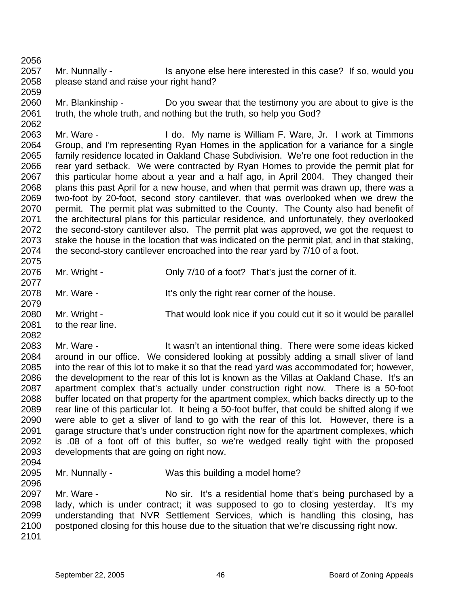2056

2059

2057 2058 Mr. Nunnally - Is anyone else here interested in this case? If so, would you please stand and raise your right hand?

2060 2061 2062 Mr. Blankinship - Do you swear that the testimony you are about to give is the truth, the whole truth, and nothing but the truth, so help you God?

2063 2064 2065 2066 2067 2068 2069 2070 2071 2072 2073 2074 2075 Mr. Ware - The Mullimeter of I do. My name is William F. Ware, Jr. I work at Timmons Group, and I'm representing Ryan Homes in the application for a variance for a single family residence located in Oakland Chase Subdivision. We're one foot reduction in the rear yard setback. We were contracted by Ryan Homes to provide the permit plat for this particular home about a year and a half ago, in April 2004. They changed their plans this past April for a new house, and when that permit was drawn up, there was a two-foot by 20-foot, second story cantilever, that was overlooked when we drew the permit. The permit plat was submitted to the County. The County also had benefit of the architectural plans for this particular residence, and unfortunately, they overlooked the second-story cantilever also. The permit plat was approved, we got the request to stake the house in the location that was indicated on the permit plat, and in that staking, the second-story cantilever encroached into the rear yard by 7/10 of a foot.

2076 2077 2078 Mr. Wright - Chly 7/10 of a foot? That's just the corner of it. Mr. Ware - It's only the right rear corner of the house.

2080 2081 2082 Mr. Wright - That would look nice if you could cut it so it would be parallel to the rear line.

2083 2084 2085 2086 2087 2088 2089 2090 2091 2092 2093 Mr. Ware - The Mush't an intentional thing. There were some ideas kicked around in our office. We considered looking at possibly adding a small sliver of land into the rear of this lot to make it so that the read yard was accommodated for; however, the development to the rear of this lot is known as the Villas at Oakland Chase. It's an apartment complex that's actually under construction right now. There is a 50-foot buffer located on that property for the apartment complex, which backs directly up to the rear line of this particular lot. It being a 50-foot buffer, that could be shifted along if we were able to get a sliver of land to go with the rear of this lot. However, there is a garage structure that's under construction right now for the apartment complexes, which is .08 of a foot off of this buffer, so we're wedged really tight with the proposed developments that are going on right now.

2094 2095

2096

2079

Mr. Nunnally - Was this building a model home?

2097 2098 2099 2100 Mr. Ware - No sir. It's a residential home that's being purchased by a lady, which is under contract; it was supposed to go to closing yesterday. It's my understanding that NVR Settlement Services, which is handling this closing, has postponed closing for this house due to the situation that we're discussing right now.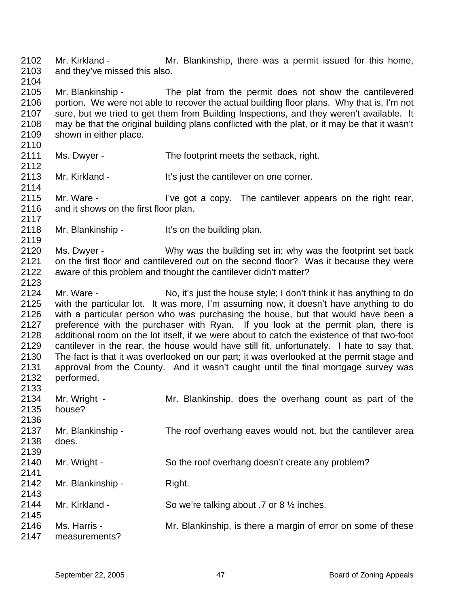2102 2103 2104 Mr. Kirkland - The Mr. Blankinship, there was a permit issued for this home, and they've missed this also.

2105 2106 2107 2108 2109 Mr. Blankinship - The plat from the permit does not show the cantilevered portion. We were not able to recover the actual building floor plans. Why that is, I'm not sure, but we tried to get them from Building Inspections, and they weren't available. It may be that the original building plans conflicted with the plat, or it may be that it wasn't shown in either place.

- 2111 Ms. Dwyer - The footprint meets the setback, right.
- 2113 Mr. Kirkland - It's just the cantilever on one corner.

2115 2116 2117 Mr. Ware - I've got a copy. The cantilever appears on the right rear, and it shows on the first floor plan.

2118 Mr. Blankinship - It's on the building plan.

2110

2112

2114

2119

2123

2120 2121 2122 Ms. Dwyer - Why was the building set in; why was the footprint set back on the first floor and cantilevered out on the second floor? Was it because they were aware of this problem and thought the cantilever didn't matter?

2124 2125 2126 2127 2128 2129 2130 2131 2132 2133 Mr. Ware - No, it's just the house style; I don't think it has anything to do with the particular lot. It was more, I'm assuming now, it doesn't have anything to do with a particular person who was purchasing the house, but that would have been a preference with the purchaser with Ryan. If you look at the permit plan, there is additional room on the lot itself, if we were about to catch the existence of that two-foot cantilever in the rear, the house would have still fit, unfortunately. I hate to say that. The fact is that it was overlooked on our part; it was overlooked at the permit stage and approval from the County. And it wasn't caught until the final mortgage survey was performed.

| 2134<br>2135<br>2136 | Mr. Wright -<br>house?        | Mr. Blankinship, does the overhang count as part of the      |
|----------------------|-------------------------------|--------------------------------------------------------------|
| 2137<br>2138<br>2139 | Mr. Blankinship -<br>does.    | The roof overhang eaves would not, but the cantilever area   |
| 2140<br>2141         | Mr. Wright -                  | So the roof overhang doesn't create any problem?             |
| 2142<br>2143         | Mr. Blankinship -             | Right.                                                       |
| 2144<br>2145         | Mr. Kirkland -                | So we're talking about .7 or 8 $\frac{1}{2}$ inches.         |
| 2146<br>2147         | Ms. Harris -<br>measurements? | Mr. Blankinship, is there a margin of error on some of these |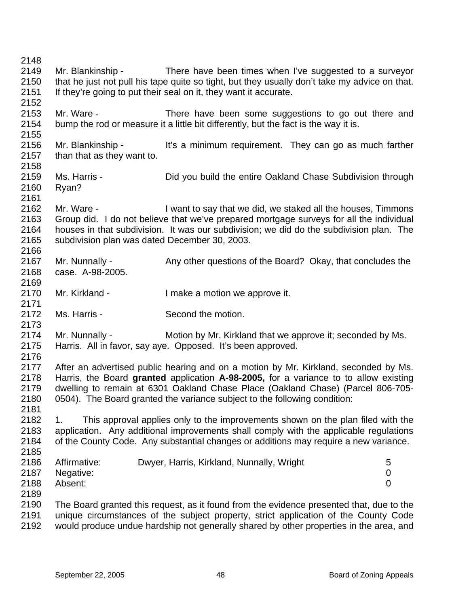2148 2149 2150 2151 2152 2153 2154 2155 2156 2157 2158 2159 2160 2161 2162 2163 2164 2165 2166 2167 2168 2169 2170 2171 2172 2173 2174 2175 2176 2177 2178 2179 2180 2181 2182 2183 2184 2185 2186 2187 2188 2189 2190 2191 2192 Mr. Blankinship - There have been times when I've suggested to a surveyor that he just not pull his tape quite so tight, but they usually don't take my advice on that. If they're going to put their seal on it, they want it accurate. Mr. Ware - There have been some suggestions to go out there and bump the rod or measure it a little bit differently, but the fact is the way it is. Mr. Blankinship - It's a minimum requirement. They can go as much farther than that as they want to. Ms. Harris - **Did you build the entire Oakland Chase Subdivision through** Ryan? Mr. Ware - The State of the Nuant to say that we did, we staked all the houses, Timmons Group did. I do not believe that we've prepared mortgage surveys for all the individual houses in that subdivision. It was our subdivision; we did do the subdivision plan. The subdivision plan was dated December 30, 2003. Mr. Nunnally - Any other questions of the Board? Okay, that concludes the case. A-98-2005. Mr. Kirkland - I make a motion we approve it. Ms. Harris - Second the motion. Mr. Nunnally - Motion by Mr. Kirkland that we approve it; seconded by Ms. Harris. All in favor, say aye. Opposed. It's been approved. After an advertised public hearing and on a motion by Mr. Kirkland, seconded by Ms. Harris, the Board **granted** application **A-98-2005,** for a variance to to allow existing dwelling to remain at 6301 Oakland Chase Place (Oakland Chase) (Parcel 806-705- 0504). The Board granted the variance subject to the following condition: 1. This approval applies only to the improvements shown on the plan filed with the application. Any additional improvements shall comply with the applicable regulations of the County Code. Any substantial changes or additions may require a new variance. Affirmative: Dwyer, Harris, Kirkland, Nunnally, Wright 5 Negative: 0 Absent: 0 The Board granted this request, as it found from the evidence presented that, due to the unique circumstances of the subject property, strict application of the County Code would produce undue hardship not generally shared by other properties in the area, and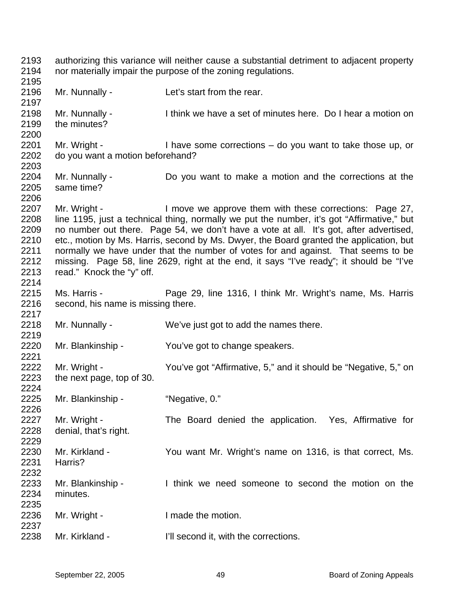2193 2194 2195 2196 2197 2198 2199 2200 2201 2202 2203 2204 2205 2206 2207 2208 2209 2210 2211 authorizing this variance will neither cause a substantial detriment to adjacent property nor materially impair the purpose of the zoning regulations. Mr. Nunnally - Let's start from the rear. Mr. Nunnally - I think we have a set of minutes here. Do I hear a motion on the minutes? Mr. Wright - I have some corrections – do you want to take those up, or do you want a motion beforehand? Mr. Nunnally - Do you want to make a motion and the corrections at the same time? Mr. Wright - I move we approve them with these corrections: Page 27, line 1195, just a technical thing, normally we put the number, it's got "Affirmative," but no number out there. Page 54, we don't have a vote at all. It's got, after advertised, etc., motion by Ms. Harris, second by Ms. Dwyer, the Board granted the application, but normally we have under that the number of votes for and against. That seems to be missing. Page 58, line 2629, right at the end, it says "I've ready"; it should be "I've read." Knock the "y" off. 2212 2213 2214 2215 2216 2217 2218 2219 2220 2221 2222 2223 2224 2225 2226 2227 2228 2229 2230 2231 2232 2233 2234 2235 2236 2237 2238 Ms. Harris - **Page 29, line 1316, I think Mr. Wright's name, Ms. Harris** second, his name is missing there. Mr. Nunnally - We've just got to add the names there. Mr. Blankinship - You've got to change speakers. Mr. Wright - You've got "Affirmative, 5," and it should be "Negative, 5," on the next page, top of 30. Mr. Blankinship - "Negative, 0." Mr. Wright - The Board denied the application. Yes, Affirmative for denial, that's right. Mr. Kirkland - You want Mr. Wright's name on 1316, is that correct, Ms. Harris? Mr. Blankinship - Think we need someone to second the motion on the minutes. Mr. Wright - I made the motion. Mr. Kirkland - **I'll second it, with the corrections.**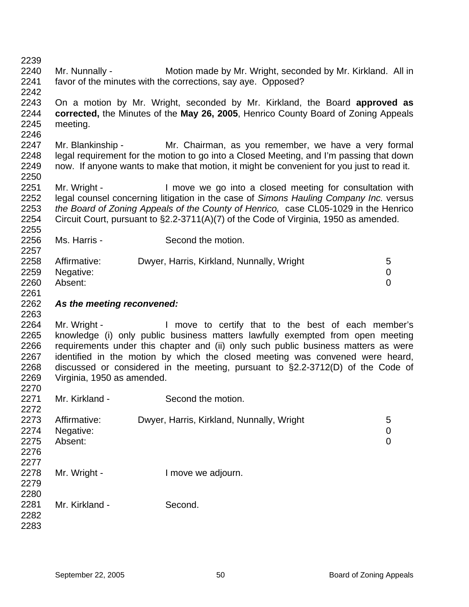| 2239<br>2240<br>2241                                         | Mr. Nunnally -                             | Motion made by Mr. Wright, seconded by Mr. Kirkland. All in<br>favor of the minutes with the corrections, say aye. Opposed?                                                                                                                                                                                                                                                                     |                                  |
|--------------------------------------------------------------|--------------------------------------------|-------------------------------------------------------------------------------------------------------------------------------------------------------------------------------------------------------------------------------------------------------------------------------------------------------------------------------------------------------------------------------------------------|----------------------------------|
| 2242<br>2243<br>2244<br>2245<br>2246                         | meeting.                                   | On a motion by Mr. Wright, seconded by Mr. Kirkland, the Board approved as<br>corrected, the Minutes of the May 26, 2005, Henrico County Board of Zoning Appeals                                                                                                                                                                                                                                |                                  |
| 2247<br>2248<br>2249<br>2250                                 | Mr. Blankinship -                          | Mr. Chairman, as you remember, we have a very formal<br>legal requirement for the motion to go into a Closed Meeting, and I'm passing that down<br>now. If anyone wants to make that motion, it might be convenient for you just to read it.                                                                                                                                                    |                                  |
| 2251<br>2252<br>2253<br>2254                                 | Mr. Wright -                               | I move we go into a closed meeting for consultation with<br>legal counsel concerning litigation in the case of Simons Hauling Company Inc. versus<br>the Board of Zoning Appeals of the County of Henrico, case CL05-1029 in the Henrico<br>Circuit Court, pursuant to §2.2-3711(A)(7) of the Code of Virginia, 1950 as amended.                                                                |                                  |
| 2255<br>2256                                                 | Ms. Harris -                               | Second the motion.                                                                                                                                                                                                                                                                                                                                                                              |                                  |
| 2257<br>2258<br>2259<br>2260<br>2261                         | Affirmative:<br>Negative:<br>Absent:       | Dwyer, Harris, Kirkland, Nunnally, Wright                                                                                                                                                                                                                                                                                                                                                       | 5<br>0<br>$\overline{0}$         |
| 2262                                                         | As the meeting reconvened:                 |                                                                                                                                                                                                                                                                                                                                                                                                 |                                  |
| 2263<br>2264<br>2265<br>2266<br>2267<br>2268<br>2269<br>2270 | Mr. Wright -<br>Virginia, 1950 as amended. | I move to certify that to the best of each member's<br>knowledge (i) only public business matters lawfully exempted from open meeting<br>requirements under this chapter and (ii) only such public business matters as were<br>identified in the motion by which the closed meeting was convened were heard,<br>discussed or considered in the meeting, pursuant to §2.2-3712(D) of the Code of |                                  |
| 2271<br>2272                                                 | Mr. Kirkland -                             | Second the motion.                                                                                                                                                                                                                                                                                                                                                                              |                                  |
| 2273<br>2274<br>2275<br>2276                                 | Affirmative:<br>Negative:<br>Absent:       | Dwyer, Harris, Kirkland, Nunnally, Wright                                                                                                                                                                                                                                                                                                                                                       | 5<br>$\pmb{0}$<br>$\overline{0}$ |
| 2277<br>2278<br>2279<br>2280                                 | Mr. Wright -                               | I move we adjourn.                                                                                                                                                                                                                                                                                                                                                                              |                                  |
| 2281<br>2282<br>2283                                         | Mr. Kirkland -                             | Second.                                                                                                                                                                                                                                                                                                                                                                                         |                                  |